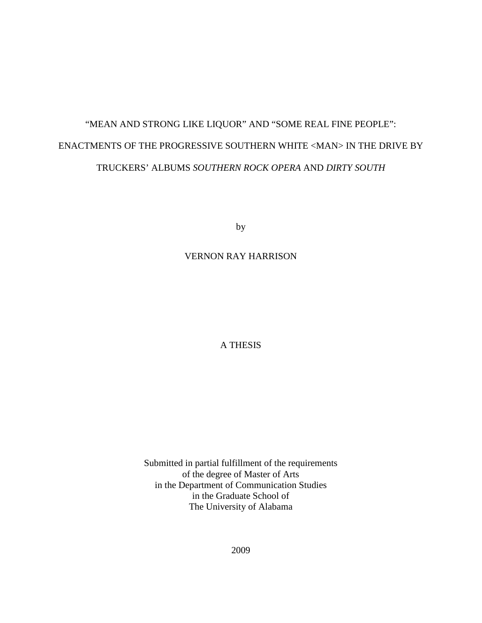# "MEAN AND STRONG LIKE LIQUOR" AND "SOME REAL FINE PEOPLE": ENACTMENTS OF THE PROGRESSIVE SOUTHERN WHITE <MAN> IN THE DRIVE BY TRUCKERS' ALBUMS *SOUTHERN ROCK OPERA* AND *DIRTY SOUTH*

by

# VERNON RAY HARRISON

A THESIS

Submitted in partial fulfillment of the requirements of the degree of Master of Arts in the Department of Communication Studies in the Graduate School of The University of Alabama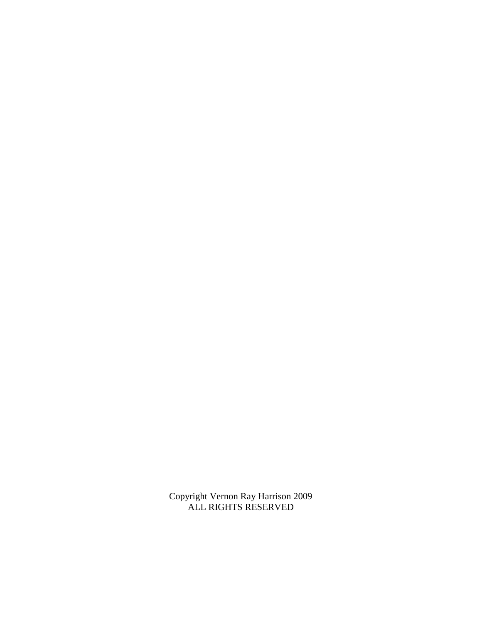Copyright Vernon Ray Harrison 2009 ALL RIGHTS RESERVED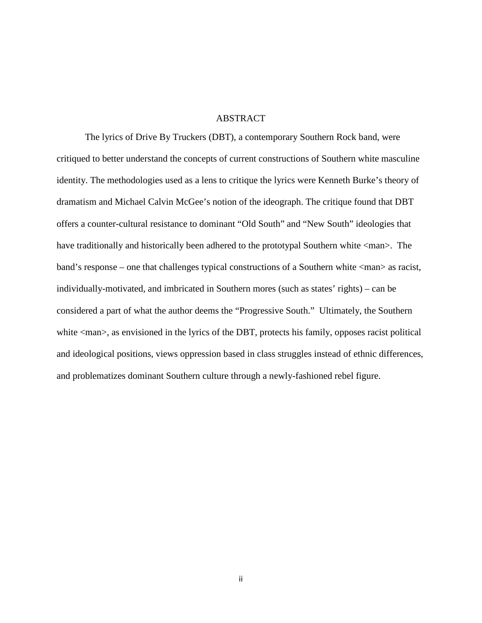# ABSTRACT

 The lyrics of Drive By Truckers (DBT), a contemporary Southern Rock band, were critiqued to better understand the concepts of current constructions of Southern white masculine identity. The methodologies used as a lens to critique the lyrics were Kenneth Burke's theory of dramatism and Michael Calvin McGee's notion of the ideograph. The critique found that DBT offers a counter-cultural resistance to dominant "Old South" and "New South" ideologies that have traditionally and historically been adhered to the prototypal Southern white <man>. The band's response – one that challenges typical constructions of a Southern white  $\langle$ man $\rangle$  as racist, individually-motivated, and imbricated in Southern mores (such as states' rights) – can be considered a part of what the author deems the "Progressive South." Ultimately, the Southern white  $\langle$ man $\rangle$ , as envisioned in the lyrics of the DBT, protects his family, opposes racist political and ideological positions, views oppression based in class struggles instead of ethnic differences, and problematizes dominant Southern culture through a newly-fashioned rebel figure.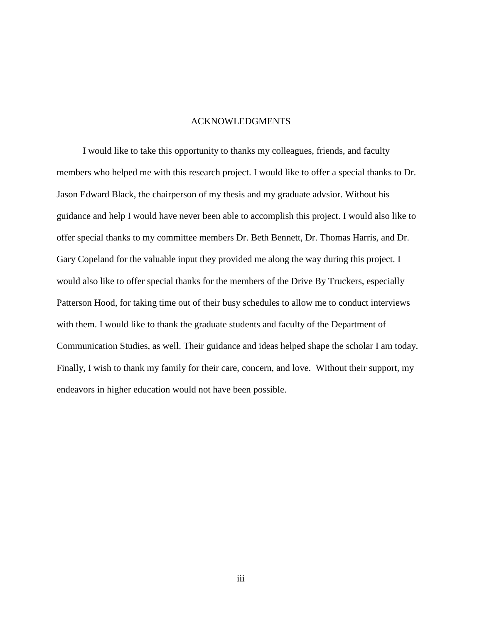# ACKNOWLEDGMENTS

 I would like to take this opportunity to thanks my colleagues, friends, and faculty members who helped me with this research project. I would like to offer a special thanks to Dr. Jason Edward Black, the chairperson of my thesis and my graduate advsior. Without his guidance and help I would have never been able to accomplish this project. I would also like to offer special thanks to my committee members Dr. Beth Bennett, Dr. Thomas Harris, and Dr. Gary Copeland for the valuable input they provided me along the way during this project. I would also like to offer special thanks for the members of the Drive By Truckers, especially Patterson Hood, for taking time out of their busy schedules to allow me to conduct interviews with them. I would like to thank the graduate students and faculty of the Department of Communication Studies, as well. Their guidance and ideas helped shape the scholar I am today. Finally, I wish to thank my family for their care, concern, and love. Without their support, my endeavors in higher education would not have been possible.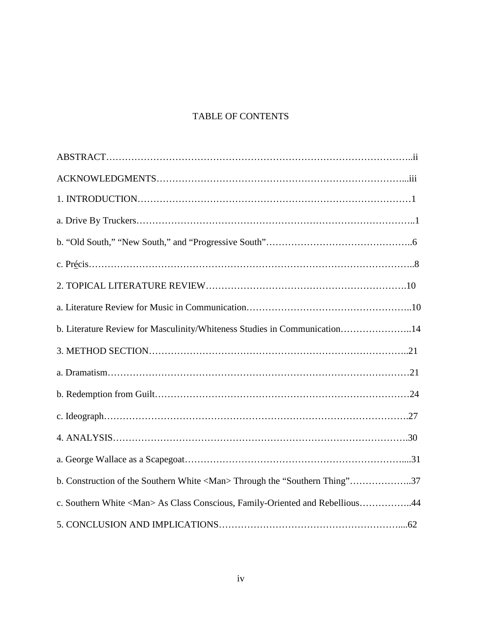# TABLE OF CONTENTS

| b. Literature Review for Masculinity/Whiteness Studies in Communication14          |
|------------------------------------------------------------------------------------|
|                                                                                    |
|                                                                                    |
|                                                                                    |
|                                                                                    |
|                                                                                    |
|                                                                                    |
| b. Construction of the Southern White <man>Through the "Southern Thing"37</man>    |
| c. Southern White <man> As Class Conscious, Family-Oriented and Rebellious44</man> |
|                                                                                    |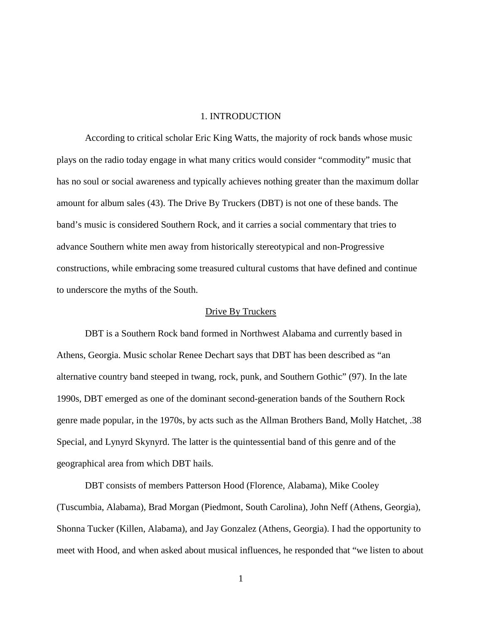#### 1. INTRODUCTION

According to critical scholar Eric King Watts, the majority of rock bands whose music plays on the radio today engage in what many critics would consider "commodity" music that has no soul or social awareness and typically achieves nothing greater than the maximum dollar amount for album sales (43). The Drive By Truckers (DBT) is not one of these bands. The band's music is considered Southern Rock, and it carries a social commentary that tries to advance Southern white men away from historically stereotypical and non-Progressive constructions, while embracing some treasured cultural customs that have defined and continue to underscore the myths of the South.

#### Drive By Truckers

 DBT is a Southern Rock band formed in Northwest Alabama and currently based in Athens, Georgia. Music scholar Renee Dechart says that DBT has been described as "an alternative country band steeped in twang, rock, punk, and Southern Gothic" (97). In the late 1990s, DBT emerged as one of the dominant second-generation bands of the Southern Rock genre made popular, in the 1970s, by acts such as the Allman Brothers Band, Molly Hatchet, .38 Special, and Lynyrd Skynyrd. The latter is the quintessential band of this genre and of the geographical area from which DBT hails.

DBT consists of members Patterson Hood (Florence, Alabama), Mike Cooley (Tuscumbia, Alabama), Brad Morgan (Piedmont, South Carolina), John Neff (Athens, Georgia), Shonna Tucker (Killen, Alabama), and Jay Gonzalez (Athens, Georgia). I had the opportunity to meet with Hood, and when asked about musical influences, he responded that "we listen to about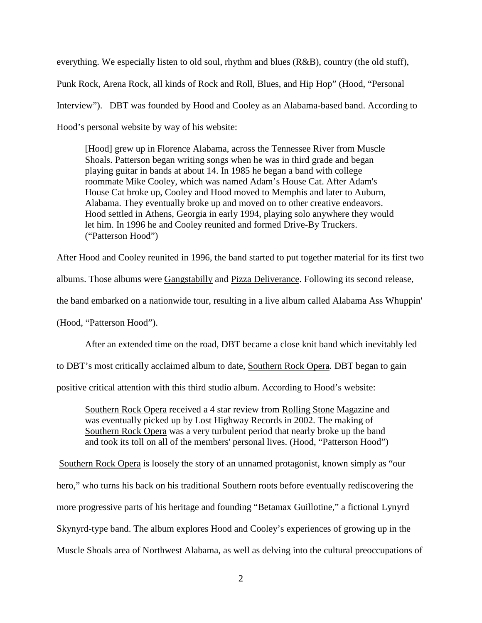everything. We especially listen to old soul, rhythm and blues  $(R&B)$ , country (the old stuff), Punk Rock, Arena Rock, all kinds of Rock and Roll, Blues, and Hip Hop" (Hood, "Personal Interview"). DBT was founded by Hood and Cooley as an Alabama-based band. According to Hood's personal website by way of his website:

[Hood] grew up in Florence Alabama, across the Tennessee River from Muscle Shoals. Patterson began writing songs when he was in third grade and began playing guitar in bands at about 14. In 1985 he began a band with college roommate Mike Cooley, which was named Adam's House Cat. After Adam's House Cat broke up, Cooley and Hood moved to Memphis and later to Auburn, Alabama. They eventually broke up and moved on to other creative endeavors. Hood settled in Athens, Georgia in early 1994, playing solo anywhere they would let him. In 1996 he and Cooley reunited and formed Drive-By Truckers. ("Patterson Hood")

After Hood and Cooley reunited in 1996, the band started to put together material for its first two albums. Those albums were Gangstabilly and Pizza Deliverance. Following its second release, the band embarked on a nationwide tour, resulting in a live album called Alabama Ass Whuppin' (Hood, "Patterson Hood").

After an extended time on the road, DBT became a close knit band which inevitably led to DBT's most critically acclaimed album to date, Southern Rock Opera*.* DBT began to gain positive critical attention with this third studio album. According to Hood's website:

Southern Rock Opera received a 4 star review from Rolling Stone Magazine and was eventually picked up by Lost Highway Records in 2002. The making of Southern Rock Opera was a very turbulent period that nearly broke up the band and took its toll on all of the members' personal lives. (Hood, "Patterson Hood")

 Southern Rock Opera is loosely the story of an unnamed protagonist, known simply as "our hero," who turns his back on his traditional Southern roots before eventually rediscovering the more progressive parts of his heritage and founding "Betamax Guillotine," a fictional Lynyrd Skynyrd-type band. The album explores Hood and Cooley's experiences of growing up in the Muscle Shoals area of Northwest Alabama, as well as delving into the cultural preoccupations of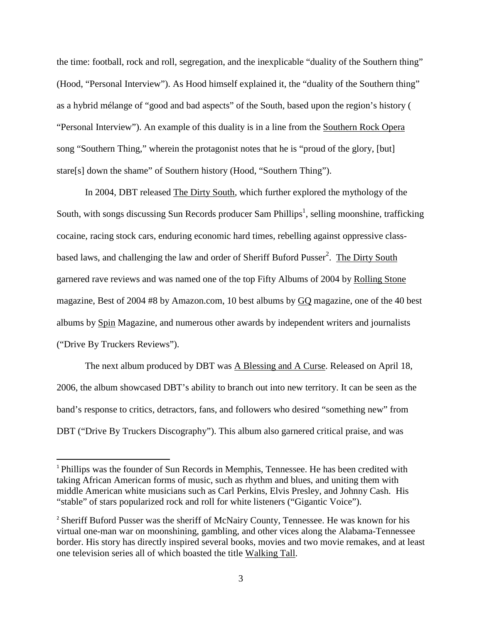the time: football, rock and roll, segregation, and the inexplicable "duality of the Southern thing" (Hood, "Personal Interview"). As Hood himself explained it, the "duality of the Southern thing" as a hybrid mélange of "good and bad aspects" of the South, based upon the region's history ( "Personal Interview"). An example of this duality is in a line from the Southern Rock Opera song "Southern Thing," wherein the protagonist notes that he is "proud of the glory, [but] stare[s] down the shame" of Southern history (Hood, "Southern Thing").

 In 2004, DBT released The Dirty South, which further explored the mythology of the South, with songs discussing Sun Records producer Sam Phillips<sup>1</sup>, selling moonshine, trafficking cocaine, racing stock cars, enduring economic hard times, rebelling against oppressive classbased laws, and challenging the law and order of Sheriff Buford Pusser<sup>2</sup>. The Dirty South garnered rave reviews and was named one of the top Fifty Albums of 2004 by Rolling Stone magazine, Best of 2004 #8 by Amazon.com, 10 best albums by GQ magazine, one of the 40 best albums by Spin Magazine, and numerous other awards by independent writers and journalists ("Drive By Truckers Reviews").

The next album produced by DBT was A Blessing and A Curse. Released on April 18, 2006, the album showcased DBT's ability to branch out into new territory. It can be seen as the band's response to critics, detractors, fans, and followers who desired "something new" from DBT ("Drive By Truckers Discography"). This album also garnered critical praise, and was

l

<sup>&</sup>lt;sup>1</sup> Phillips was the founder of Sun Records in Memphis, Tennessee. He has been credited with taking African American forms of music, such as rhythm and blues, and uniting them with middle American white musicians such as Carl Perkins, Elvis Presley, and Johnny Cash. His "stable" of stars popularized rock and roll for white listeners ("Gigantic Voice").

<sup>&</sup>lt;sup>2</sup> Sheriff Buford Pusser was the sheriff of McNairy County, Tennessee. He was known for his virtual one-man war on moonshining, gambling, and other vices along the Alabama-Tennessee border. His story has directly inspired several books, movies and two movie remakes, and at least one television series all of which boasted the title Walking Tall.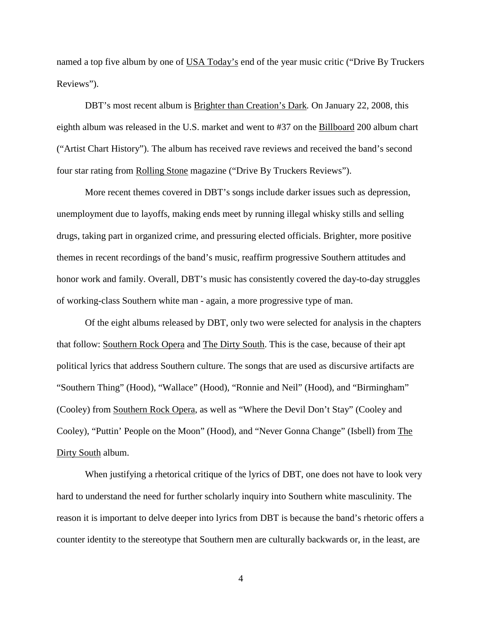named a top five album by one of USA Today's end of the year music critic ("Drive By Truckers Reviews").

DBT's most recent album is Brighter than Creation's Dark*.* On January 22, 2008, this eighth album was released in the U.S. market and went to #37 on the Billboard 200 album chart ("Artist Chart History"). The album has received rave reviews and received the band's second four star rating from Rolling Stone magazine ("Drive By Truckers Reviews").

 More recent themes covered in DBT's songs include darker issues such as depression, unemployment due to layoffs, making ends meet by running illegal whisky stills and selling drugs, taking part in organized crime, and pressuring elected officials. Brighter, more positive themes in recent recordings of the band's music, reaffirm progressive Southern attitudes and honor work and family. Overall, DBT's music has consistently covered the day-to-day struggles of working-class Southern white man - again, a more progressive type of man.

 Of the eight albums released by DBT, only two were selected for analysis in the chapters that follow: Southern Rock Opera and The Dirty South. This is the case, because of their apt political lyrics that address Southern culture. The songs that are used as discursive artifacts are "Southern Thing" (Hood), "Wallace" (Hood), "Ronnie and Neil" (Hood), and "Birmingham" (Cooley) from Southern Rock Opera, as well as "Where the Devil Don't Stay" (Cooley and Cooley), "Puttin' People on the Moon" (Hood), and "Never Gonna Change" (Isbell) from The Dirty South album.

 When justifying a rhetorical critique of the lyrics of DBT, one does not have to look very hard to understand the need for further scholarly inquiry into Southern white masculinity. The reason it is important to delve deeper into lyrics from DBT is because the band's rhetoric offers a counter identity to the stereotype that Southern men are culturally backwards or, in the least, are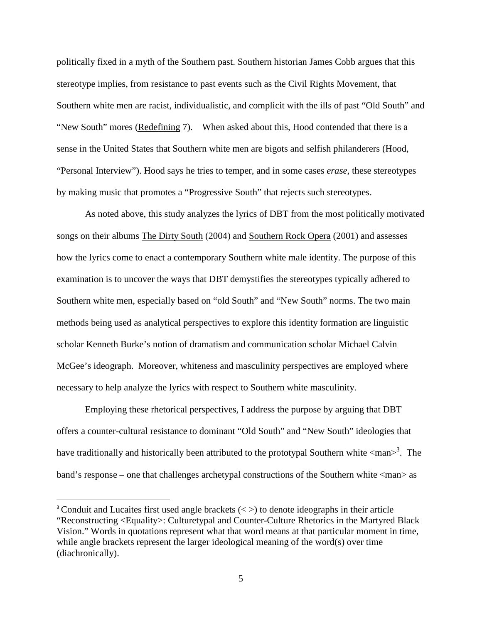politically fixed in a myth of the Southern past. Southern historian James Cobb argues that this stereotype implies, from resistance to past events such as the Civil Rights Movement, that Southern white men are racist, individualistic, and complicit with the ills of past "Old South" and "New South" mores (Redefining 7). When asked about this, Hood contended that there is a sense in the United States that Southern white men are bigots and selfish philanderers (Hood, "Personal Interview"). Hood says he tries to temper, and in some cases *erase*, these stereotypes by making music that promotes a "Progressive South" that rejects such stereotypes.

As noted above, this study analyzes the lyrics of DBT from the most politically motivated songs on their albums The Dirty South (2004) and Southern Rock Opera (2001) and assesses how the lyrics come to enact a contemporary Southern white male identity. The purpose of this examination is to uncover the ways that DBT demystifies the stereotypes typically adhered to Southern white men, especially based on "old South" and "New South" norms. The two main methods being used as analytical perspectives to explore this identity formation are linguistic scholar Kenneth Burke's notion of dramatism and communication scholar Michael Calvin McGee's ideograph. Moreover, whiteness and masculinity perspectives are employed where necessary to help analyze the lyrics with respect to Southern white masculinity.

Employing these rhetorical perspectives, I address the purpose by arguing that DBT offers a counter-cultural resistance to dominant "Old South" and "New South" ideologies that have traditionally and historically been attributed to the prototypal Southern white  $\langle$ man $\rangle^3$ . The band's response – one that challenges archetypal constructions of the Southern white  $\langle$ man $\rangle$  as

 $\overline{a}$ 

<sup>&</sup>lt;sup>3</sup> Conduit and Lucaites first used angle brackets  $\left\langle \langle \rangle \right\rangle$  to denote ideographs in their article "Reconstructing <Equality>: Culturetypal and Counter-Culture Rhetorics in the Martyred Black Vision." Words in quotations represent what that word means at that particular moment in time, while angle brackets represent the larger ideological meaning of the word(s) over time (diachronically).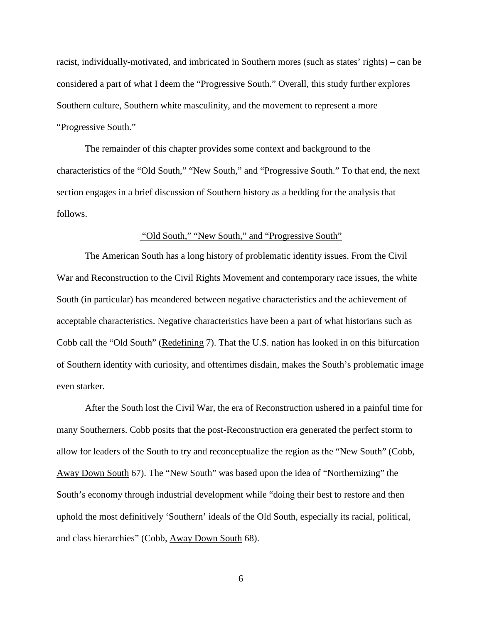racist, individually-motivated, and imbricated in Southern mores (such as states' rights) – can be considered a part of what I deem the "Progressive South." Overall, this study further explores Southern culture, Southern white masculinity, and the movement to represent a more "Progressive South."

 The remainder of this chapter provides some context and background to the characteristics of the "Old South," "New South," and "Progressive South." To that end, the next section engages in a brief discussion of Southern history as a bedding for the analysis that follows.

# "Old South," "New South," and "Progressive South"

 The American South has a long history of problematic identity issues. From the Civil War and Reconstruction to the Civil Rights Movement and contemporary race issues, the white South (in particular) has meandered between negative characteristics and the achievement of acceptable characteristics. Negative characteristics have been a part of what historians such as Cobb call the "Old South" (Redefining 7). That the U.S. nation has looked in on this bifurcation of Southern identity with curiosity, and oftentimes disdain, makes the South's problematic image even starker.

 After the South lost the Civil War, the era of Reconstruction ushered in a painful time for many Southerners. Cobb posits that the post-Reconstruction era generated the perfect storm to allow for leaders of the South to try and reconceptualize the region as the "New South" (Cobb, Away Down South 67). The "New South" was based upon the idea of "Northernizing" the South's economy through industrial development while "doing their best to restore and then uphold the most definitively 'Southern' ideals of the Old South, especially its racial, political, and class hierarchies" (Cobb, Away Down South 68).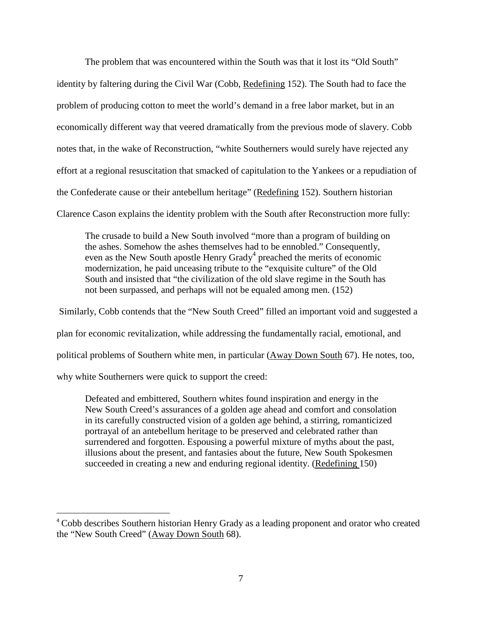The problem that was encountered within the South was that it lost its "Old South" identity by faltering during the Civil War (Cobb, Redefining 152). The South had to face the problem of producing cotton to meet the world's demand in a free labor market, but in an economically different way that veered dramatically from the previous mode of slavery. Cobb notes that, in the wake of Reconstruction, "white Southerners would surely have rejected any effort at a regional resuscitation that smacked of capitulation to the Yankees or a repudiation of the Confederate cause or their antebellum heritage" (Redefining 152). Southern historian

Clarence Cason explains the identity problem with the South after Reconstruction more fully:

The crusade to build a New South involved "more than a program of building on the ashes. Somehow the ashes themselves had to be ennobled." Consequently, even as the New South apostle Henry Grady<sup>4</sup> preached the merits of economic modernization, he paid unceasing tribute to the "exquisite culture" of the Old South and insisted that "the civilization of the old slave regime in the South has not been surpassed, and perhaps will not be equaled among men. (152)

 Similarly, Cobb contends that the "New South Creed" filled an important void and suggested a plan for economic revitalization, while addressing the fundamentally racial, emotional, and political problems of Southern white men, in particular (Away Down South 67). He notes, too, why white Southerners were quick to support the creed:

Defeated and embittered, Southern whites found inspiration and energy in the New South Creed's assurances of a golden age ahead and comfort and consolation in its carefully constructed vision of a golden age behind, a stirring, romanticized portrayal of an antebellum heritage to be preserved and celebrated rather than surrendered and forgotten. Espousing a powerful mixture of myths about the past, illusions about the present, and fantasies about the future, New South Spokesmen succeeded in creating a new and enduring regional identity. (Redefining 150)

l

<sup>&</sup>lt;sup>4</sup> Cobb describes Southern historian Henry Grady as a leading proponent and orator who created the "New South Creed" (Away Down South 68).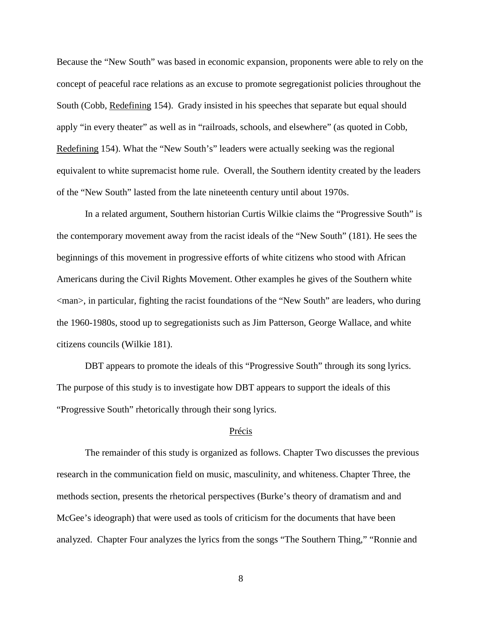Because the "New South" was based in economic expansion, proponents were able to rely on the concept of peaceful race relations as an excuse to promote segregationist policies throughout the South (Cobb, Redefining 154). Grady insisted in his speeches that separate but equal should apply "in every theater" as well as in "railroads, schools, and elsewhere" (as quoted in Cobb, Redefining 154). What the "New South's" leaders were actually seeking was the regional equivalent to white supremacist home rule. Overall, the Southern identity created by the leaders of the "New South" lasted from the late nineteenth century until about 1970s.

 In a related argument, Southern historian Curtis Wilkie claims the "Progressive South" is the contemporary movement away from the racist ideals of the "New South" (181). He sees the beginnings of this movement in progressive efforts of white citizens who stood with African Americans during the Civil Rights Movement. Other examples he gives of the Southern white <man>, in particular, fighting the racist foundations of the "New South" are leaders, who during the 1960-1980s, stood up to segregationists such as Jim Patterson, George Wallace, and white citizens councils (Wilkie 181).

 DBT appears to promote the ideals of this "Progressive South" through its song lyrics. The purpose of this study is to investigate how DBT appears to support the ideals of this "Progressive South" rhetorically through their song lyrics.

#### Précis

 The remainder of this study is organized as follows. Chapter Two discusses the previous research in the communication field on music, masculinity, and whiteness. Chapter Three, the methods section, presents the rhetorical perspectives (Burke's theory of dramatism and and McGee's ideograph) that were used as tools of criticism for the documents that have been analyzed. Chapter Four analyzes the lyrics from the songs "The Southern Thing," "Ronnie and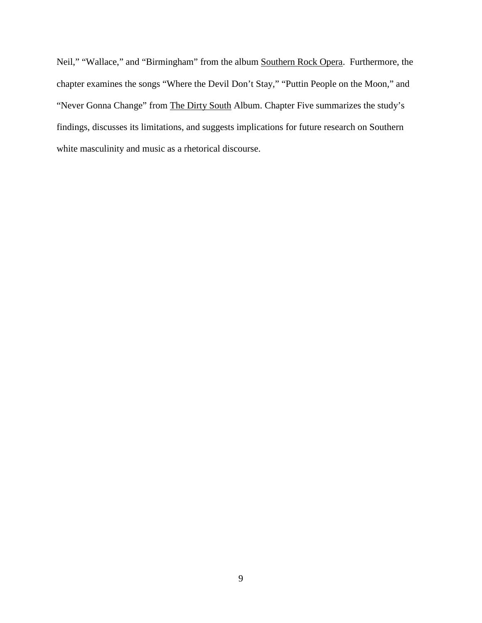Neil," "Wallace," and "Birmingham" from the album Southern Rock Opera. Furthermore, the chapter examines the songs "Where the Devil Don't Stay," "Puttin People on the Moon," and "Never Gonna Change" from The Dirty South Album. Chapter Five summarizes the study's findings, discusses its limitations, and suggests implications for future research on Southern white masculinity and music as a rhetorical discourse.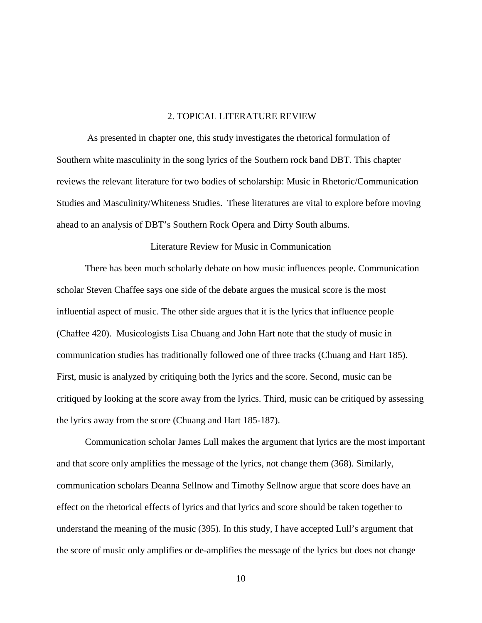#### 2. TOPICAL LITERATURE REVIEW

 As presented in chapter one, this study investigates the rhetorical formulation of Southern white masculinity in the song lyrics of the Southern rock band DBT. This chapter reviews the relevant literature for two bodies of scholarship: Music in Rhetoric/Communication Studies and Masculinity/Whiteness Studies. These literatures are vital to explore before moving ahead to an analysis of DBT's Southern Rock Opera and Dirty South albums.

#### Literature Review for Music in Communication

There has been much scholarly debate on how music influences people. Communication scholar Steven Chaffee says one side of the debate argues the musical score is the most influential aspect of music. The other side argues that it is the lyrics that influence people (Chaffee 420). Musicologists Lisa Chuang and John Hart note that the study of music in communication studies has traditionally followed one of three tracks (Chuang and Hart 185). First, music is analyzed by critiquing both the lyrics and the score. Second, music can be critiqued by looking at the score away from the lyrics. Third, music can be critiqued by assessing the lyrics away from the score (Chuang and Hart 185-187).

Communication scholar James Lull makes the argument that lyrics are the most important and that score only amplifies the message of the lyrics, not change them (368). Similarly, communication scholars Deanna Sellnow and Timothy Sellnow argue that score does have an effect on the rhetorical effects of lyrics and that lyrics and score should be taken together to understand the meaning of the music (395). In this study, I have accepted Lull's argument that the score of music only amplifies or de-amplifies the message of the lyrics but does not change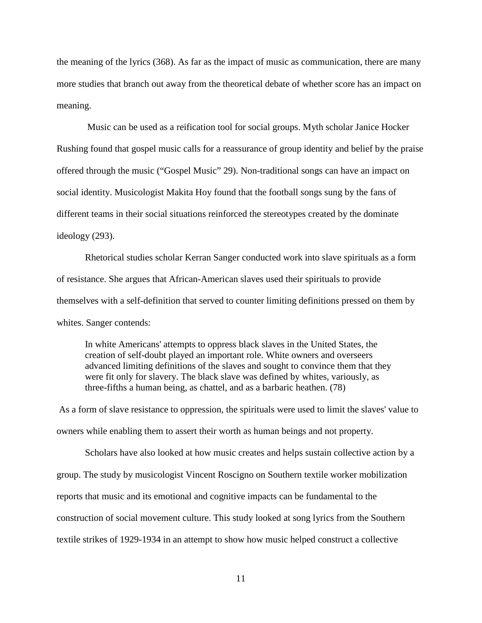the meaning of the lyrics (368). As far as the impact of music as communication, there are many more studies that branch out away from the theoretical debate of whether score has an impact on meaning.

 Music can be used as a reification tool for social groups. Myth scholar Janice Hocker Rushing found that gospel music calls for a reassurance of group identity and belief by the praise offered through the music ("Gospel Music" 29). Non-traditional songs can have an impact on social identity. Musicologist Makita Hoy found that the football songs sung by the fans of different teams in their social situations reinforced the stereotypes created by the dominate ideology (293).

Rhetorical studies scholar Kerran Sanger conducted work into slave spirituals as a form of resistance. She argues that African-American slaves used their spirituals to provide themselves with a self-definition that served to counter limiting definitions pressed on them by whites. Sanger contends:

In white Americans' attempts to oppress black slaves in the United States, the creation of self-doubt played an important role. White owners and overseers advanced limiting definitions of the slaves and sought to convince them that they were fit only for slavery. The black slave was defined by whites, variously, as three-fifths a human being, as chattel, and as a barbaric heathen. (78)

 As a form of slave resistance to oppression, the spirituals were used to limit the slaves' value to owners while enabling them to assert their worth as human beings and not property.

Scholars have also looked at how music creates and helps sustain collective action by a group. The study by musicologist Vincent Roscigno on Southern textile worker mobilization reports that music and its emotional and cognitive impacts can be fundamental to the construction of social movement culture. This study looked at song lyrics from the Southern textile strikes of 1929-1934 in an attempt to show how music helped construct a collective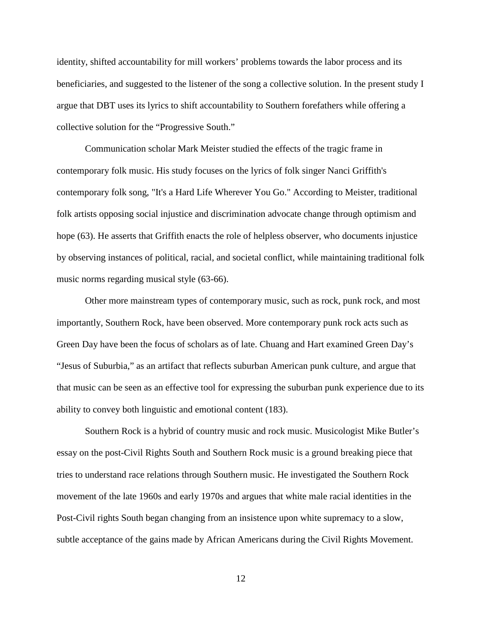identity, shifted accountability for mill workers' problems towards the labor process and its beneficiaries, and suggested to the listener of the song a collective solution. In the present study I argue that DBT uses its lyrics to shift accountability to Southern forefathers while offering a collective solution for the "Progressive South."

Communication scholar Mark Meister studied the effects of the tragic frame in contemporary folk music. His study focuses on the lyrics of folk singer Nanci Griffith's contemporary folk song, "It's a Hard Life Wherever You Go." According to Meister, traditional folk artists opposing social injustice and discrimination advocate change through optimism and hope (63). He asserts that Griffith enacts the role of helpless observer, who documents injustice by observing instances of political, racial, and societal conflict, while maintaining traditional folk music norms regarding musical style (63-66).

Other more mainstream types of contemporary music, such as rock, punk rock, and most importantly, Southern Rock, have been observed. More contemporary punk rock acts such as Green Day have been the focus of scholars as of late. Chuang and Hart examined Green Day's "Jesus of Suburbia," as an artifact that reflects suburban American punk culture, and argue that that music can be seen as an effective tool for expressing the suburban punk experience due to its ability to convey both linguistic and emotional content (183).

Southern Rock is a hybrid of country music and rock music. Musicologist Mike Butler's essay on the post-Civil Rights South and Southern Rock music is a ground breaking piece that tries to understand race relations through Southern music. He investigated the Southern Rock movement of the late 1960s and early 1970s and argues that white male racial identities in the Post-Civil rights South began changing from an insistence upon white supremacy to a slow, subtle acceptance of the gains made by African Americans during the Civil Rights Movement.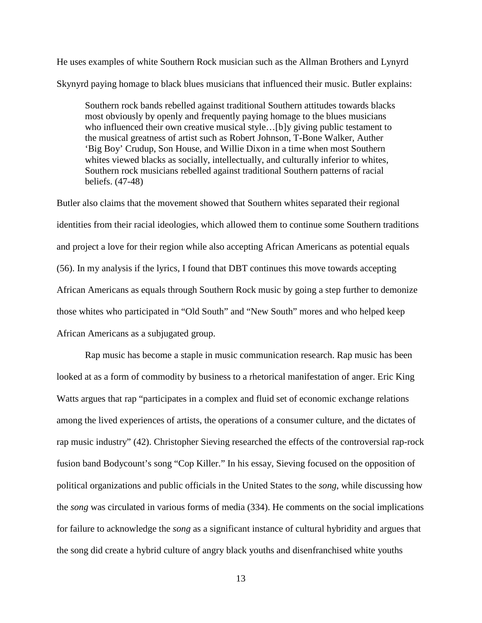He uses examples of white Southern Rock musician such as the Allman Brothers and Lynyrd Skynyrd paying homage to black blues musicians that influenced their music. Butler explains:

Southern rock bands rebelled against traditional Southern attitudes towards blacks most obviously by openly and frequently paying homage to the blues musicians who influenced their own creative musical style...[b]y giving public testament to the musical greatness of artist such as Robert Johnson, T-Bone Walker, Auther 'Big Boy' Crudup, Son House, and Willie Dixon in a time when most Southern whites viewed blacks as socially, intellectually, and culturally inferior to whites, Southern rock musicians rebelled against traditional Southern patterns of racial beliefs. (47-48)

Butler also claims that the movement showed that Southern whites separated their regional identities from their racial ideologies, which allowed them to continue some Southern traditions and project a love for their region while also accepting African Americans as potential equals (56). In my analysis if the lyrics, I found that DBT continues this move towards accepting African Americans as equals through Southern Rock music by going a step further to demonize those whites who participated in "Old South" and "New South" mores and who helped keep African Americans as a subjugated group.

Rap music has become a staple in music communication research. Rap music has been looked at as a form of commodity by business to a rhetorical manifestation of anger. Eric King Watts argues that rap "participates in a complex and fluid set of economic exchange relations among the lived experiences of artists, the operations of a consumer culture, and the dictates of rap music industry" (42). Christopher Sieving researched the effects of the controversial rap-rock fusion band Bodycount's song "Cop Killer." In his essay, Sieving focused on the opposition of political organizations and public officials in the United States to the *song*, while discussing how the *song* was circulated in various forms of media (334). He comments on the social implications for failure to acknowledge the *song* as a significant instance of cultural hybridity and argues that the song did create a hybrid culture of angry black youths and disenfranchised white youths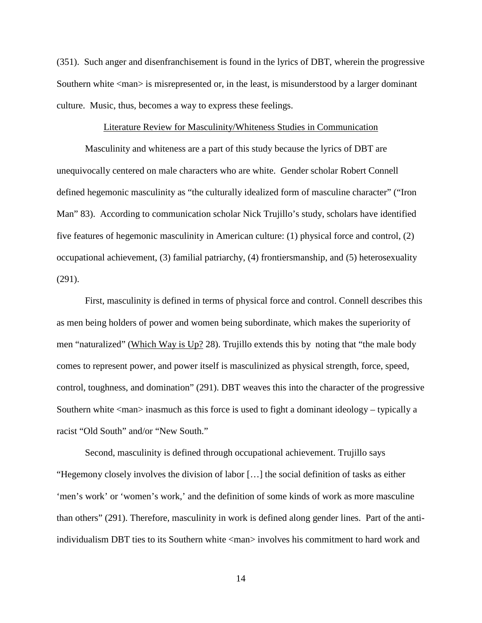(351). Such anger and disenfranchisement is found in the lyrics of DBT, wherein the progressive Southern white <man> is misrepresented or, in the least, is misunderstood by a larger dominant culture. Music, thus, becomes a way to express these feelings.

#### Literature Review for Masculinity/Whiteness Studies in Communication

Masculinity and whiteness are a part of this study because the lyrics of DBT are unequivocally centered on male characters who are white. Gender scholar Robert Connell defined hegemonic masculinity as "the culturally idealized form of masculine character" ("Iron Man" 83). According to communication scholar Nick Trujillo's study, scholars have identified five features of hegemonic masculinity in American culture: (1) physical force and control, (2) occupational achievement, (3) familial patriarchy, (4) frontiersmanship, and (5) heterosexuality (291).

First, masculinity is defined in terms of physical force and control. Connell describes this as men being holders of power and women being subordinate, which makes the superiority of men "naturalized" (Which Way is Up? 28). Trujillo extends this by noting that "the male body comes to represent power, and power itself is masculinized as physical strength, force, speed, control, toughness, and domination" (291). DBT weaves this into the character of the progressive Southern white  $\langle$ man $\rangle$  inasmuch as this force is used to fight a dominant ideology – typically a racist "Old South" and/or "New South."

Second, masculinity is defined through occupational achievement. Trujillo says "Hegemony closely involves the division of labor […] the social definition of tasks as either 'men's work' or 'women's work,' and the definition of some kinds of work as more masculine than others" (291). Therefore, masculinity in work is defined along gender lines. Part of the antiindividualism DBT ties to its Southern white  $\langle$ man $\rangle$  involves his commitment to hard work and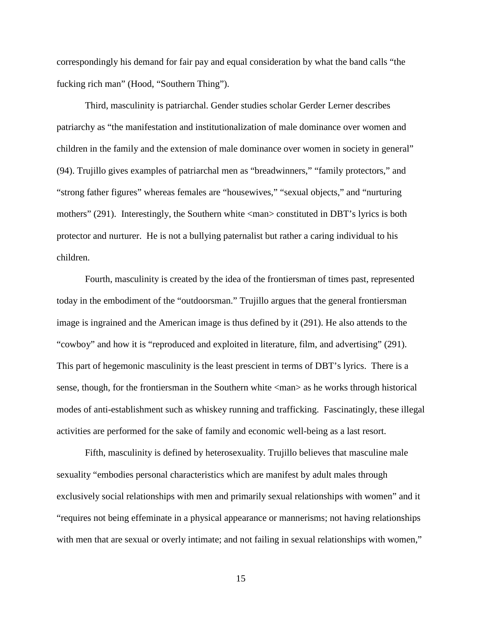correspondingly his demand for fair pay and equal consideration by what the band calls "the fucking rich man" (Hood, "Southern Thing").

Third, masculinity is patriarchal. Gender studies scholar Gerder Lerner describes patriarchy as "the manifestation and institutionalization of male dominance over women and children in the family and the extension of male dominance over women in society in general" (94). Trujillo gives examples of patriarchal men as "breadwinners," "family protectors," and "strong father figures" whereas females are "housewives," "sexual objects," and "nurturing mothers" (291). Interestingly, the Southern white  $\langle$ man> constituted in DBT's lyrics is both protector and nurturer. He is not a bullying paternalist but rather a caring individual to his children.

Fourth, masculinity is created by the idea of the frontiersman of times past, represented today in the embodiment of the "outdoorsman." Trujillo argues that the general frontiersman image is ingrained and the American image is thus defined by it (291). He also attends to the "cowboy" and how it is "reproduced and exploited in literature, film, and advertising" (291). This part of hegemonic masculinity is the least prescient in terms of DBT's lyrics. There is a sense, though, for the frontiersman in the Southern white <man> as he works through historical modes of anti-establishment such as whiskey running and trafficking. Fascinatingly, these illegal activities are performed for the sake of family and economic well-being as a last resort.

Fifth, masculinity is defined by heterosexuality. Trujillo believes that masculine male sexuality "embodies personal characteristics which are manifest by adult males through exclusively social relationships with men and primarily sexual relationships with women" and it "requires not being effeminate in a physical appearance or mannerisms; not having relationships with men that are sexual or overly intimate; and not failing in sexual relationships with women,"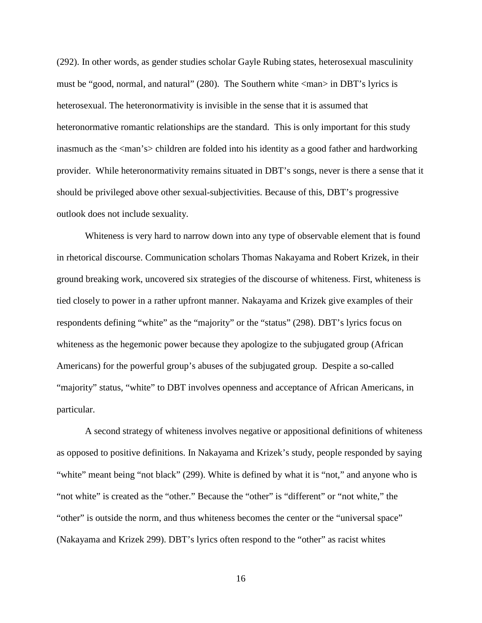(292). In other words, as gender studies scholar Gayle Rubing states, heterosexual masculinity must be "good, normal, and natural" (280). The Southern white <man> in DBT's lyrics is heterosexual. The heteronormativity is invisible in the sense that it is assumed that heteronormative romantic relationships are the standard. This is only important for this study inasmuch as the  $\leq$ man's $\geq$  children are folded into his identity as a good father and hardworking provider. While heteronormativity remains situated in DBT's songs, never is there a sense that it should be privileged above other sexual-subjectivities. Because of this, DBT's progressive outlook does not include sexuality.

Whiteness is very hard to narrow down into any type of observable element that is found in rhetorical discourse. Communication scholars Thomas Nakayama and Robert Krizek, in their ground breaking work, uncovered six strategies of the discourse of whiteness. First, whiteness is tied closely to power in a rather upfront manner. Nakayama and Krizek give examples of their respondents defining "white" as the "majority" or the "status" (298). DBT's lyrics focus on whiteness as the hegemonic power because they apologize to the subjugated group (African Americans) for the powerful group's abuses of the subjugated group. Despite a so-called "majority" status, "white" to DBT involves openness and acceptance of African Americans, in particular.

A second strategy of whiteness involves negative or appositional definitions of whiteness as opposed to positive definitions. In Nakayama and Krizek's study, people responded by saying "white" meant being "not black" (299). White is defined by what it is "not," and anyone who is "not white" is created as the "other." Because the "other" is "different" or "not white," the "other" is outside the norm, and thus whiteness becomes the center or the "universal space" (Nakayama and Krizek 299). DBT's lyrics often respond to the "other" as racist whites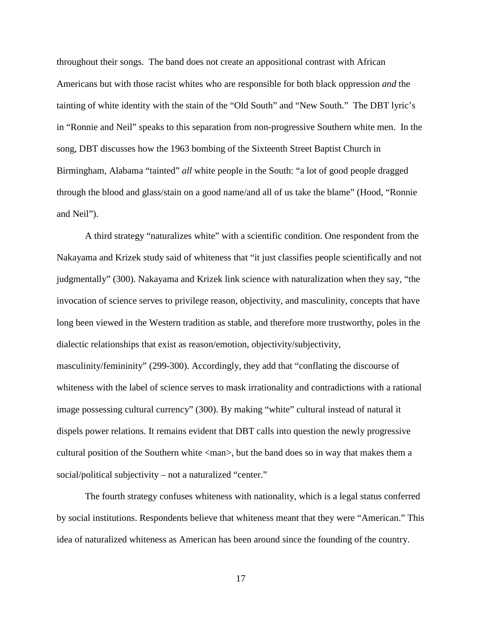throughout their songs. The band does not create an appositional contrast with African Americans but with those racist whites who are responsible for both black oppression *and* the tainting of white identity with the stain of the "Old South" and "New South." The DBT lyric's in "Ronnie and Neil" speaks to this separation from non-progressive Southern white men. In the song, DBT discusses how the 1963 bombing of the Sixteenth Street Baptist Church in Birmingham, Alabama "tainted" *all* white people in the South: "a lot of good people dragged through the blood and glass/stain on a good name/and all of us take the blame" (Hood, "Ronnie and Neil").

A third strategy "naturalizes white" with a scientific condition. One respondent from the Nakayama and Krizek study said of whiteness that "it just classifies people scientifically and not judgmentally" (300). Nakayama and Krizek link science with naturalization when they say, "the invocation of science serves to privilege reason, objectivity, and masculinity, concepts that have long been viewed in the Western tradition as stable, and therefore more trustworthy, poles in the dialectic relationships that exist as reason/emotion, objectivity/subjectivity, masculinity/femininity" (299-300). Accordingly, they add that "conflating the discourse of whiteness with the label of science serves to mask irrationality and contradictions with a rational image possessing cultural currency" (300). By making "white" cultural instead of natural it dispels power relations. It remains evident that DBT calls into question the newly progressive cultural position of the Southern white <man>, but the band does so in way that makes them a

The fourth strategy confuses whiteness with nationality, which is a legal status conferred by social institutions. Respondents believe that whiteness meant that they were "American." This idea of naturalized whiteness as American has been around since the founding of the country.

social/political subjectivity – not a naturalized "center."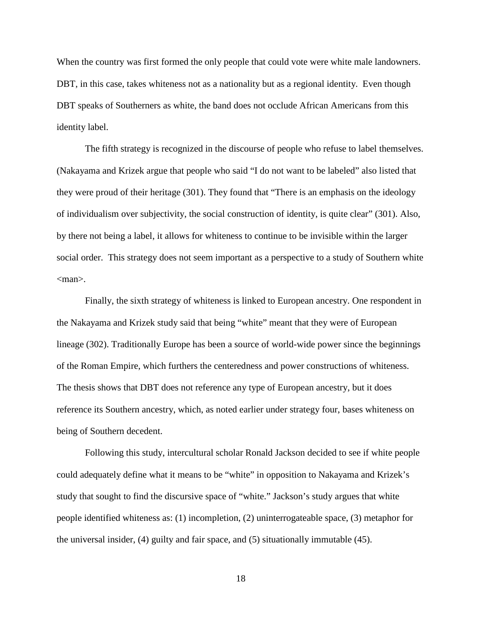When the country was first formed the only people that could vote were white male landowners. DBT, in this case, takes whiteness not as a nationality but as a regional identity. Even though DBT speaks of Southerners as white, the band does not occlude African Americans from this identity label.

The fifth strategy is recognized in the discourse of people who refuse to label themselves. (Nakayama and Krizek argue that people who said "I do not want to be labeled" also listed that they were proud of their heritage (301). They found that "There is an emphasis on the ideology of individualism over subjectivity, the social construction of identity, is quite clear" (301). Also, by there not being a label, it allows for whiteness to continue to be invisible within the larger social order. This strategy does not seem important as a perspective to a study of Southern white <man>.

Finally, the sixth strategy of whiteness is linked to European ancestry. One respondent in the Nakayama and Krizek study said that being "white" meant that they were of European lineage (302). Traditionally Europe has been a source of world-wide power since the beginnings of the Roman Empire, which furthers the centeredness and power constructions of whiteness. The thesis shows that DBT does not reference any type of European ancestry, but it does reference its Southern ancestry, which, as noted earlier under strategy four, bases whiteness on being of Southern decedent.

Following this study, intercultural scholar Ronald Jackson decided to see if white people could adequately define what it means to be "white" in opposition to Nakayama and Krizek's study that sought to find the discursive space of "white." Jackson's study argues that white people identified whiteness as: (1) incompletion, (2) uninterrogateable space, (3) metaphor for the universal insider, (4) guilty and fair space, and (5) situationally immutable (45).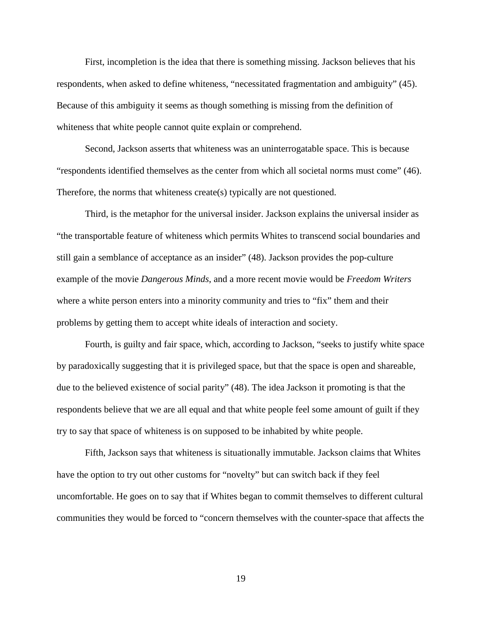First, incompletion is the idea that there is something missing. Jackson believes that his respondents, when asked to define whiteness, "necessitated fragmentation and ambiguity" (45). Because of this ambiguity it seems as though something is missing from the definition of whiteness that white people cannot quite explain or comprehend.

Second, Jackson asserts that whiteness was an uninterrogatable space. This is because "respondents identified themselves as the center from which all societal norms must come" (46). Therefore, the norms that whiteness create(s) typically are not questioned.

Third, is the metaphor for the universal insider. Jackson explains the universal insider as "the transportable feature of whiteness which permits Whites to transcend social boundaries and still gain a semblance of acceptance as an insider" (48). Jackson provides the pop-culture example of the movie *Dangerous Minds*, and a more recent movie would be *Freedom Writers* where a white person enters into a minority community and tries to "fix" them and their problems by getting them to accept white ideals of interaction and society.

Fourth, is guilty and fair space, which, according to Jackson, "seeks to justify white space by paradoxically suggesting that it is privileged space, but that the space is open and shareable, due to the believed existence of social parity" (48). The idea Jackson it promoting is that the respondents believe that we are all equal and that white people feel some amount of guilt if they try to say that space of whiteness is on supposed to be inhabited by white people.

Fifth, Jackson says that whiteness is situationally immutable. Jackson claims that Whites have the option to try out other customs for "novelty" but can switch back if they feel uncomfortable. He goes on to say that if Whites began to commit themselves to different cultural communities they would be forced to "concern themselves with the counter-space that affects the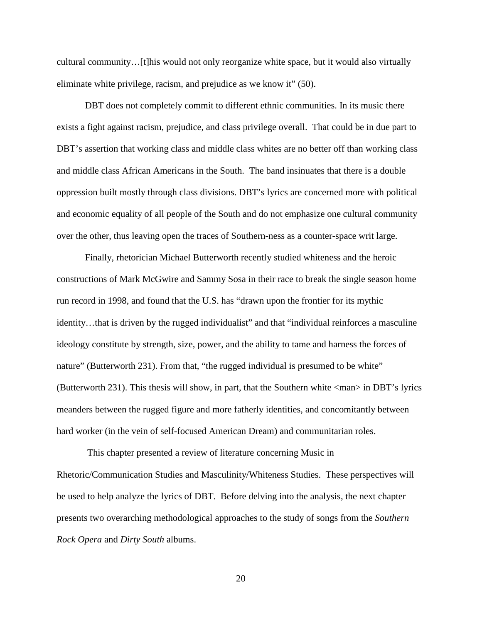cultural community…[t]his would not only reorganize white space, but it would also virtually eliminate white privilege, racism, and prejudice as we know it" (50).

DBT does not completely commit to different ethnic communities. In its music there exists a fight against racism, prejudice, and class privilege overall. That could be in due part to DBT's assertion that working class and middle class whites are no better off than working class and middle class African Americans in the South. The band insinuates that there is a double oppression built mostly through class divisions. DBT's lyrics are concerned more with political and economic equality of all people of the South and do not emphasize one cultural community over the other, thus leaving open the traces of Southern-ness as a counter-space writ large.

Finally, rhetorician Michael Butterworth recently studied whiteness and the heroic constructions of Mark McGwire and Sammy Sosa in their race to break the single season home run record in 1998, and found that the U.S. has "drawn upon the frontier for its mythic identity...that is driven by the rugged individualist" and that "individual reinforces a masculine ideology constitute by strength, size, power, and the ability to tame and harness the forces of nature" (Butterworth 231). From that, "the rugged individual is presumed to be white" (Butterworth 231). This thesis will show, in part, that the Southern white <man> in DBT's lyrics meanders between the rugged figure and more fatherly identities, and concomitantly between hard worker (in the vein of self-focused American Dream) and communitarian roles.

 This chapter presented a review of literature concerning Music in Rhetoric/Communication Studies and Masculinity/Whiteness Studies. These perspectives will be used to help analyze the lyrics of DBT. Before delving into the analysis, the next chapter presents two overarching methodological approaches to the study of songs from the *Southern Rock Opera* and *Dirty South* albums.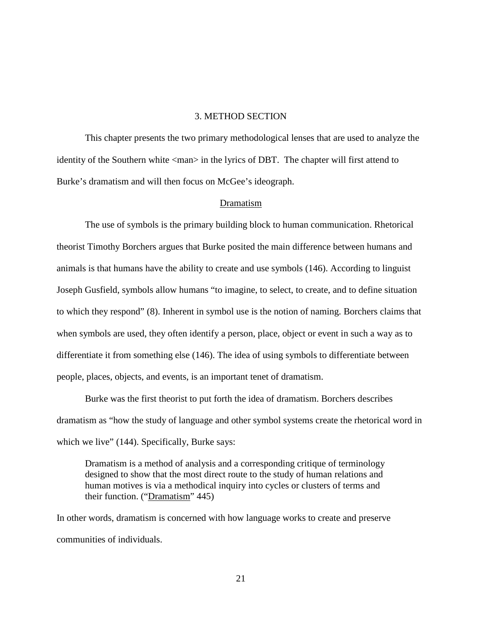#### 3. METHOD SECTION

 This chapter presents the two primary methodological lenses that are used to analyze the identity of the Southern white  $\langle$ man $\rangle$  in the lyrics of DBT. The chapter will first attend to Burke's dramatism and will then focus on McGee's ideograph.

#### Dramatism

The use of symbols is the primary building block to human communication. Rhetorical theorist Timothy Borchers argues that Burke posited the main difference between humans and animals is that humans have the ability to create and use symbols (146). According to linguist Joseph Gusfield, symbols allow humans "to imagine, to select, to create, and to define situation to which they respond" (8). Inherent in symbol use is the notion of naming. Borchers claims that when symbols are used, they often identify a person, place, object or event in such a way as to differentiate it from something else (146). The idea of using symbols to differentiate between people, places, objects, and events, is an important tenet of dramatism.

Burke was the first theorist to put forth the idea of dramatism. Borchers describes dramatism as "how the study of language and other symbol systems create the rhetorical word in which we live" (144). Specifically, Burke says:

Dramatism is a method of analysis and a corresponding critique of terminology designed to show that the most direct route to the study of human relations and human motives is via a methodical inquiry into cycles or clusters of terms and their function. ("Dramatism" 445)

In other words, dramatism is concerned with how language works to create and preserve communities of individuals.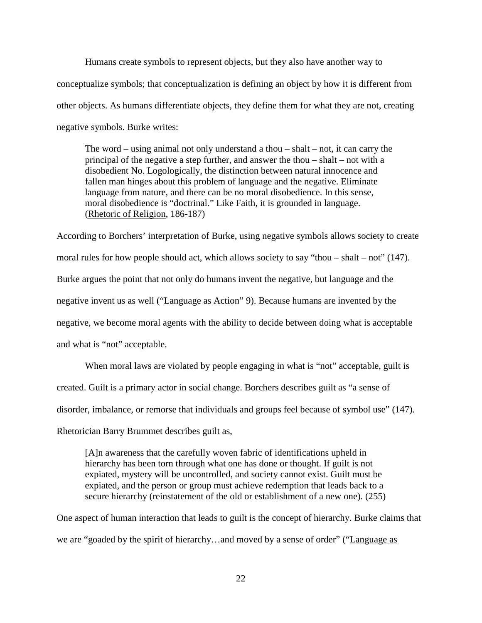Humans create symbols to represent objects, but they also have another way to conceptualize symbols; that conceptualization is defining an object by how it is different from other objects. As humans differentiate objects, they define them for what they are not, creating negative symbols. Burke writes:

The word – using animal not only understand a thou – shalt – not, it can carry the principal of the negative a step further, and answer the thou – shalt – not with a disobedient No. Logologically, the distinction between natural innocence and fallen man hinges about this problem of language and the negative. Eliminate language from nature, and there can be no moral disobedience. In this sense, moral disobedience is "doctrinal." Like Faith, it is grounded in language. (Rhetoric of Religion, 186-187)

According to Borchers' interpretation of Burke, using negative symbols allows society to create moral rules for how people should act, which allows society to say "thou – shalt – not" (147). Burke argues the point that not only do humans invent the negative, but language and the negative invent us as well ("Language as Action" 9). Because humans are invented by the negative, we become moral agents with the ability to decide between doing what is acceptable and what is "not" acceptable.

When moral laws are violated by people engaging in what is "not" acceptable, guilt is created. Guilt is a primary actor in social change. Borchers describes guilt as "a sense of disorder, imbalance, or remorse that individuals and groups feel because of symbol use" (147). Rhetorician Barry Brummet describes guilt as,

[A]n awareness that the carefully woven fabric of identifications upheld in hierarchy has been torn through what one has done or thought. If guilt is not expiated, mystery will be uncontrolled, and society cannot exist. Guilt must be expiated, and the person or group must achieve redemption that leads back to a secure hierarchy (reinstatement of the old or establishment of a new one). (255)

One aspect of human interaction that leads to guilt is the concept of hierarchy. Burke claims that we are "goaded by the spirit of hierarchy…and moved by a sense of order" ("Language as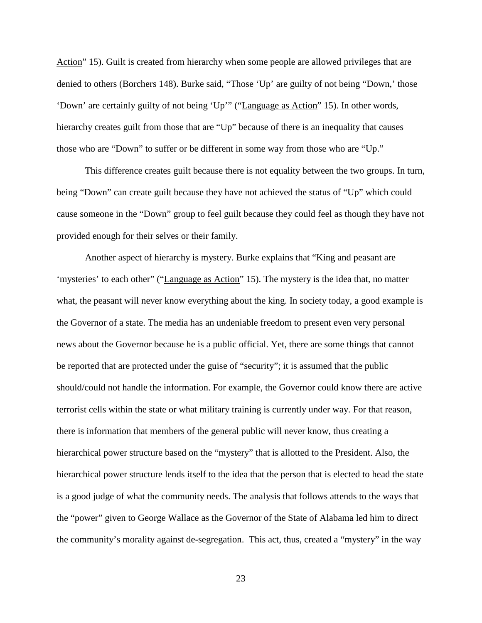Action" 15). Guilt is created from hierarchy when some people are allowed privileges that are denied to others (Borchers 148). Burke said, "Those 'Up' are guilty of not being "Down,' those 'Down' are certainly guilty of not being 'Up'" ("Language as Action" 15). In other words, hierarchy creates guilt from those that are "Up" because of there is an inequality that causes those who are "Down" to suffer or be different in some way from those who are "Up."

This difference creates guilt because there is not equality between the two groups. In turn, being "Down" can create guilt because they have not achieved the status of "Up" which could cause someone in the "Down" group to feel guilt because they could feel as though they have not provided enough for their selves or their family.

Another aspect of hierarchy is mystery. Burke explains that "King and peasant are 'mysteries' to each other" ("Language as Action" 15). The mystery is the idea that, no matter what, the peasant will never know everything about the king. In society today, a good example is the Governor of a state. The media has an undeniable freedom to present even very personal news about the Governor because he is a public official. Yet, there are some things that cannot be reported that are protected under the guise of "security"; it is assumed that the public should/could not handle the information. For example, the Governor could know there are active terrorist cells within the state or what military training is currently under way. For that reason, there is information that members of the general public will never know, thus creating a hierarchical power structure based on the "mystery" that is allotted to the President. Also, the hierarchical power structure lends itself to the idea that the person that is elected to head the state is a good judge of what the community needs. The analysis that follows attends to the ways that the "power" given to George Wallace as the Governor of the State of Alabama led him to direct the community's morality against de-segregation. This act, thus, created a "mystery" in the way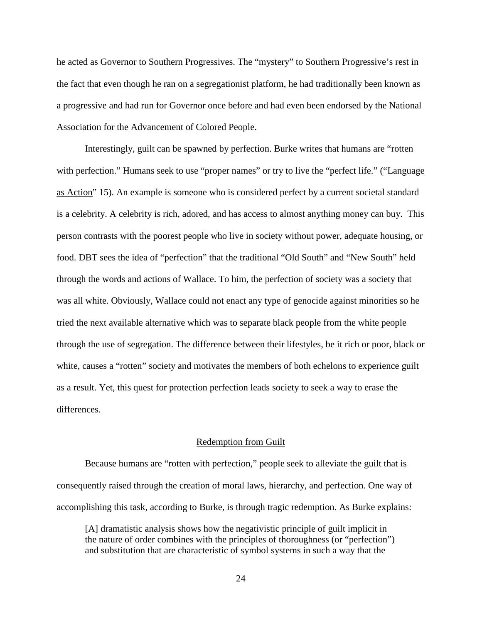he acted as Governor to Southern Progressives. The "mystery" to Southern Progressive's rest in the fact that even though he ran on a segregationist platform, he had traditionally been known as a progressive and had run for Governor once before and had even been endorsed by the National Association for the Advancement of Colored People.

Interestingly, guilt can be spawned by perfection. Burke writes that humans are "rotten with perfection." Humans seek to use "proper names" or try to live the "perfect life." ("Language as Action" 15). An example is someone who is considered perfect by a current societal standard is a celebrity. A celebrity is rich, adored, and has access to almost anything money can buy. This person contrasts with the poorest people who live in society without power, adequate housing, or food. DBT sees the idea of "perfection" that the traditional "Old South" and "New South" held through the words and actions of Wallace. To him, the perfection of society was a society that was all white. Obviously, Wallace could not enact any type of genocide against minorities so he tried the next available alternative which was to separate black people from the white people through the use of segregation. The difference between their lifestyles, be it rich or poor, black or white, causes a "rotten" society and motivates the members of both echelons to experience guilt as a result. Yet, this quest for protection perfection leads society to seek a way to erase the differences.

# Redemption from Guilt

 Because humans are "rotten with perfection," people seek to alleviate the guilt that is consequently raised through the creation of moral laws, hierarchy, and perfection. One way of accomplishing this task, according to Burke, is through tragic redemption. As Burke explains:

[A] dramatistic analysis shows how the negativistic principle of guilt implicit in the nature of order combines with the principles of thoroughness (or "perfection") and substitution that are characteristic of symbol systems in such a way that the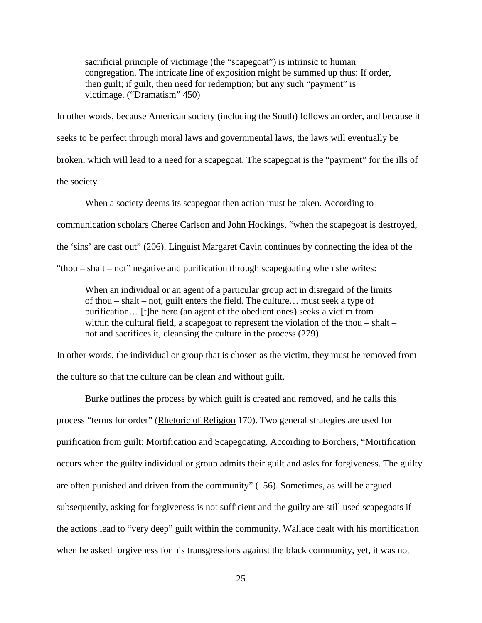sacrificial principle of victimage (the "scapegoat") is intrinsic to human congregation. The intricate line of exposition might be summed up thus: If order, then guilt; if guilt, then need for redemption; but any such "payment" is victimage. ("Dramatism" 450)

In other words, because American society (including the South) follows an order, and because it seeks to be perfect through moral laws and governmental laws, the laws will eventually be broken, which will lead to a need for a scapegoat. The scapegoat is the "payment" for the ills of the society.

When a society deems its scapegoat then action must be taken. According to communication scholars Cheree Carlson and John Hockings, "when the scapegoat is destroyed, the 'sins' are cast out" (206). Linguist Margaret Cavin continues by connecting the idea of the "thou – shalt – not" negative and purification through scapegoating when she writes:

When an individual or an agent of a particular group act in disregard of the limits of thou – shalt – not, guilt enters the field. The culture… must seek a type of purification… [t]he hero (an agent of the obedient ones) seeks a victim from within the cultural field, a scapegoat to represent the violation of the thou – shalt – not and sacrifices it, cleansing the culture in the process (279).

In other words, the individual or group that is chosen as the victim, they must be removed from the culture so that the culture can be clean and without guilt.

Burke outlines the process by which guilt is created and removed, and he calls this process "terms for order" (Rhetoric of Religion 170). Two general strategies are used for purification from guilt: Mortification and Scapegoating. According to Borchers, "Mortification occurs when the guilty individual or group admits their guilt and asks for forgiveness. The guilty are often punished and driven from the community" (156). Sometimes, as will be argued subsequently, asking for forgiveness is not sufficient and the guilty are still used scapegoats if the actions lead to "very deep" guilt within the community. Wallace dealt with his mortification when he asked forgiveness for his transgressions against the black community, yet, it was not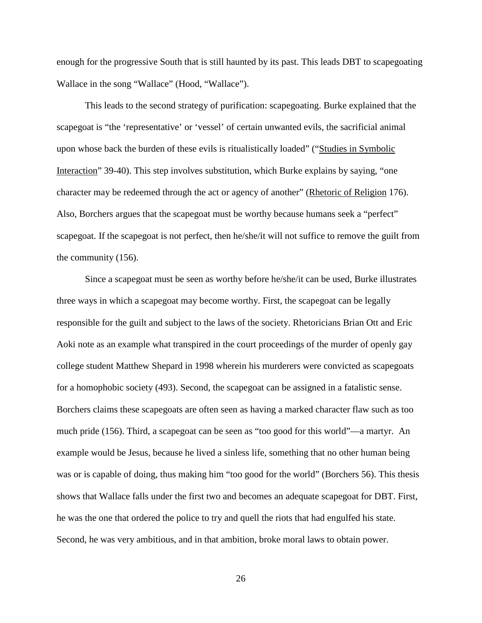enough for the progressive South that is still haunted by its past. This leads DBT to scapegoating Wallace in the song "Wallace" (Hood, "Wallace").

 This leads to the second strategy of purification: scapegoating. Burke explained that the scapegoat is "the 'representative' or 'vessel' of certain unwanted evils, the sacrificial animal upon whose back the burden of these evils is ritualistically loaded" ("Studies in Symbolic Interaction" 39-40). This step involves substitution, which Burke explains by saying, "one character may be redeemed through the act or agency of another" (Rhetoric of Religion 176). Also, Borchers argues that the scapegoat must be worthy because humans seek a "perfect" scapegoat. If the scapegoat is not perfect, then he/she/it will not suffice to remove the guilt from the community (156).

Since a scapegoat must be seen as worthy before he/she/it can be used, Burke illustrates three ways in which a scapegoat may become worthy. First, the scapegoat can be legally responsible for the guilt and subject to the laws of the society. Rhetoricians Brian Ott and Eric Aoki note as an example what transpired in the court proceedings of the murder of openly gay college student Matthew Shepard in 1998 wherein his murderers were convicted as scapegoats for a homophobic society (493). Second, the scapegoat can be assigned in a fatalistic sense. Borchers claims these scapegoats are often seen as having a marked character flaw such as too much pride (156). Third, a scapegoat can be seen as "too good for this world"—a martyr. An example would be Jesus, because he lived a sinless life, something that no other human being was or is capable of doing, thus making him "too good for the world" (Borchers 56). This thesis shows that Wallace falls under the first two and becomes an adequate scapegoat for DBT. First, he was the one that ordered the police to try and quell the riots that had engulfed his state. Second, he was very ambitious, and in that ambition, broke moral laws to obtain power.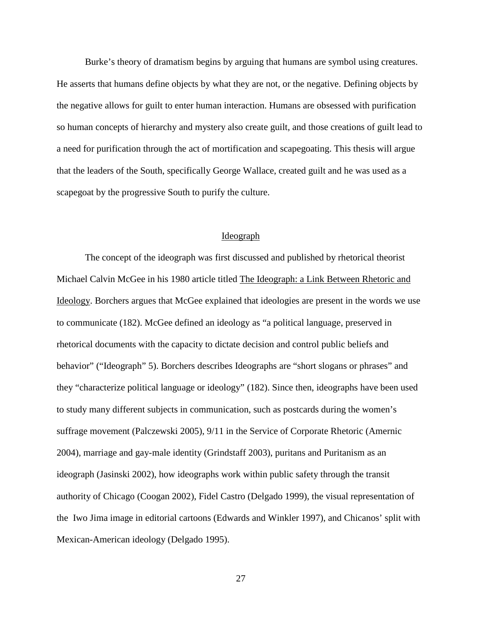Burke's theory of dramatism begins by arguing that humans are symbol using creatures. He asserts that humans define objects by what they are not, or the negative. Defining objects by the negative allows for guilt to enter human interaction. Humans are obsessed with purification so human concepts of hierarchy and mystery also create guilt, and those creations of guilt lead to a need for purification through the act of mortification and scapegoating. This thesis will argue that the leaders of the South, specifically George Wallace, created guilt and he was used as a scapegoat by the progressive South to purify the culture.

## **Ideograph**

The concept of the ideograph was first discussed and published by rhetorical theorist Michael Calvin McGee in his 1980 article titled The Ideograph: a Link Between Rhetoric and Ideology. Borchers argues that McGee explained that ideologies are present in the words we use to communicate (182). McGee defined an ideology as "a political language, preserved in rhetorical documents with the capacity to dictate decision and control public beliefs and behavior" ("Ideograph" 5). Borchers describes Ideographs are "short slogans or phrases" and they "characterize political language or ideology" (182). Since then, ideographs have been used to study many different subjects in communication, such as postcards during the women's suffrage movement (Palczewski 2005), 9/11 in the Service of Corporate Rhetoric (Amernic 2004), marriage and gay-male identity (Grindstaff 2003), puritans and Puritanism as an ideograph (Jasinski 2002), how ideographs work within public safety through the transit authority of Chicago (Coogan 2002), Fidel Castro (Delgado 1999), the visual representation of the Iwo Jima image in editorial cartoons (Edwards and Winkler 1997), and Chicanos' split with Mexican-American ideology (Delgado 1995).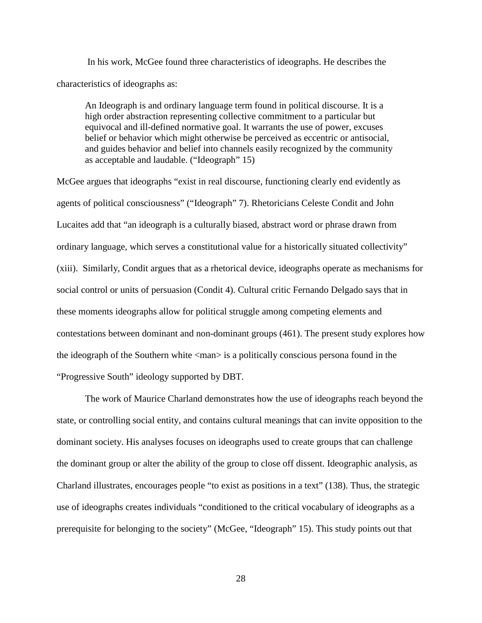In his work, McGee found three characteristics of ideographs. He describes the characteristics of ideographs as:

An Ideograph is and ordinary language term found in political discourse. It is a high order abstraction representing collective commitment to a particular but equivocal and ill-defined normative goal. It warrants the use of power, excuses belief or behavior which might otherwise be perceived as eccentric or antisocial, and guides behavior and belief into channels easily recognized by the community as acceptable and laudable. ("Ideograph" 15)

McGee argues that ideographs "exist in real discourse, functioning clearly end evidently as agents of political consciousness" ("Ideograph" 7). Rhetoricians Celeste Condit and John Lucaites add that "an ideograph is a culturally biased, abstract word or phrase drawn from ordinary language, which serves a constitutional value for a historically situated collectivity" (xiii). Similarly, Condit argues that as a rhetorical device, ideographs operate as mechanisms for social control or units of persuasion (Condit 4). Cultural critic Fernando Delgado says that in these moments ideographs allow for political struggle among competing elements and contestations between dominant and non-dominant groups (461). The present study explores how the ideograph of the Southern white <man> is a politically conscious persona found in the "Progressive South" ideology supported by DBT.

The work of Maurice Charland demonstrates how the use of ideographs reach beyond the state, or controlling social entity, and contains cultural meanings that can invite opposition to the dominant society. His analyses focuses on ideographs used to create groups that can challenge the dominant group or alter the ability of the group to close off dissent. Ideographic analysis, as Charland illustrates, encourages people "to exist as positions in a text" (138). Thus, the strategic use of ideographs creates individuals "conditioned to the critical vocabulary of ideographs as a prerequisite for belonging to the society" (McGee, "Ideograph" 15). This study points out that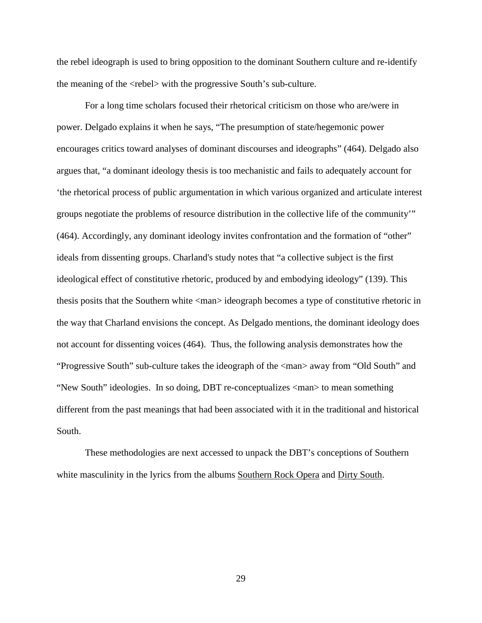the rebel ideograph is used to bring opposition to the dominant Southern culture and re-identify the meaning of the <rebel> with the progressive South's sub-culture.

For a long time scholars focused their rhetorical criticism on those who are/were in power. Delgado explains it when he says, "The presumption of state/hegemonic power encourages critics toward analyses of dominant discourses and ideographs" (464). Delgado also argues that, "a dominant ideology thesis is too mechanistic and fails to adequately account for 'the rhetorical process of public argumentation in which various organized and articulate interest groups negotiate the problems of resource distribution in the collective life of the community'" (464). Accordingly, any dominant ideology invites confrontation and the formation of "other" ideals from dissenting groups. Charland's study notes that "a collective subject is the first ideological effect of constitutive rhetoric, produced by and embodying ideology" (139). This thesis posits that the Southern white <man> ideograph becomes a type of constitutive rhetoric in the way that Charland envisions the concept. As Delgado mentions, the dominant ideology does not account for dissenting voices (464). Thus, the following analysis demonstrates how the "Progressive South" sub-culture takes the ideograph of the <man> away from "Old South" and "New South" ideologies. In so doing, DBT re-conceptualizes <man> to mean something different from the past meanings that had been associated with it in the traditional and historical South.

 These methodologies are next accessed to unpack the DBT's conceptions of Southern white masculinity in the lyrics from the albums Southern Rock Opera and Dirty South.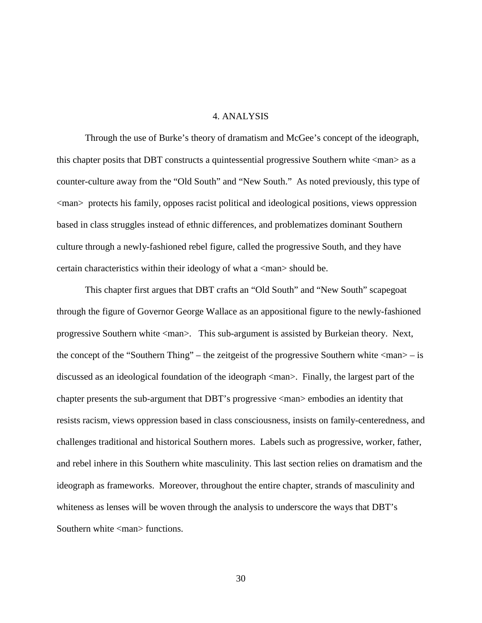#### 4. ANALYSIS

 Through the use of Burke's theory of dramatism and McGee's concept of the ideograph, this chapter posits that DBT constructs a quintessential progressive Southern white <man> as a counter-culture away from the "Old South" and "New South." As noted previously, this type of <man> protects his family, opposes racist political and ideological positions, views oppression based in class struggles instead of ethnic differences, and problematizes dominant Southern culture through a newly-fashioned rebel figure, called the progressive South, and they have certain characteristics within their ideology of what a  $\langle$ man $\rangle$  should be.

 This chapter first argues that DBT crafts an "Old South" and "New South" scapegoat through the figure of Governor George Wallace as an appositional figure to the newly-fashioned progressive Southern white <man>. This sub-argument is assisted by Burkeian theory. Next, the concept of the "Southern Thing" – the zeitgeist of the progressive Southern white  $\langle$ man $\rangle$  – is discussed as an ideological foundation of the ideograph <man>. Finally, the largest part of the chapter presents the sub-argument that DBT's progressive <man> embodies an identity that resists racism, views oppression based in class consciousness, insists on family-centeredness, and challenges traditional and historical Southern mores. Labels such as progressive, worker, father, and rebel inhere in this Southern white masculinity. This last section relies on dramatism and the ideograph as frameworks. Moreover, throughout the entire chapter, strands of masculinity and whiteness as lenses will be woven through the analysis to underscore the ways that DBT's Southern white <man> functions.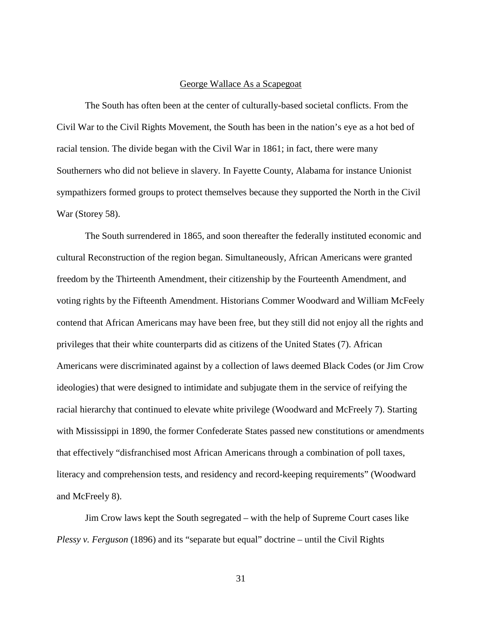## George Wallace As a Scapegoat

The South has often been at the center of culturally-based societal conflicts. From the Civil War to the Civil Rights Movement, the South has been in the nation's eye as a hot bed of racial tension. The divide began with the Civil War in 1861; in fact, there were many Southerners who did not believe in slavery. In Fayette County, Alabama for instance Unionist sympathizers formed groups to protect themselves because they supported the North in the Civil War (Storey 58).

 The South surrendered in 1865, and soon thereafter the federally instituted economic and cultural Reconstruction of the region began. Simultaneously, African Americans were granted freedom by the Thirteenth Amendment, their citizenship by the Fourteenth Amendment, and voting rights by the Fifteenth Amendment. Historians Commer Woodward and William McFeely contend that African Americans may have been free, but they still did not enjoy all the rights and privileges that their white counterparts did as citizens of the United States (7). African Americans were discriminated against by a collection of laws deemed Black Codes (or Jim Crow ideologies) that were designed to intimidate and subjugate them in the service of reifying the racial hierarchy that continued to elevate white privilege (Woodward and McFreely 7). Starting with Mississippi in 1890, the former Confederate States passed new constitutions or amendments that effectively "disfranchised most African Americans through a combination of poll taxes, literacy and comprehension tests, and residency and record-keeping requirements" (Woodward and McFreely 8).

 Jim Crow laws kept the South segregated – with the help of Supreme Court cases like *Plessy v. Ferguson* (1896) and its "separate but equal" doctrine – until the Civil Rights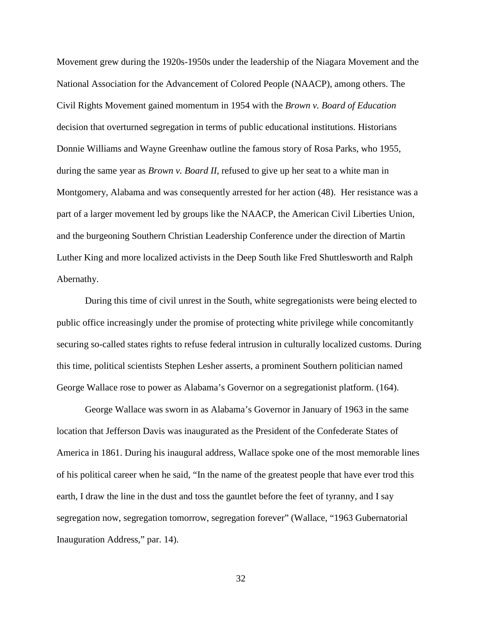Movement grew during the 1920s-1950s under the leadership of the Niagara Movement and the National Association for the Advancement of Colored People (NAACP), among others. The Civil Rights Movement gained momentum in 1954 with the *Brown v. Board of Education* decision that overturned segregation in terms of public educational institutions. Historians Donnie Williams and Wayne Greenhaw outline the famous story of Rosa Parks, who 1955, during the same year as *Brown v. Board II*, refused to give up her seat to a white man in Montgomery, Alabama and was consequently arrested for her action (48). Her resistance was a part of a larger movement led by groups like the NAACP, the American Civil Liberties Union, and the burgeoning Southern Christian Leadership Conference under the direction of Martin Luther King and more localized activists in the Deep South like Fred Shuttlesworth and Ralph Abernathy.

 During this time of civil unrest in the South, white segregationists were being elected to public office increasingly under the promise of protecting white privilege while concomitantly securing so-called states rights to refuse federal intrusion in culturally localized customs. During this time, political scientists Stephen Lesher asserts, a prominent Southern politician named George Wallace rose to power as Alabama's Governor on a segregationist platform. (164).

 George Wallace was sworn in as Alabama's Governor in January of 1963 in the same location that Jefferson Davis was inaugurated as the President of the Confederate States of America in 1861. During his inaugural address, Wallace spoke one of the most memorable lines of his political career when he said, "In the name of the greatest people that have ever trod this earth, I draw the line in the dust and toss the gauntlet before the feet of tyranny, and I say segregation now, segregation tomorrow, segregation forever" (Wallace, "1963 Gubernatorial Inauguration Address," par. 14).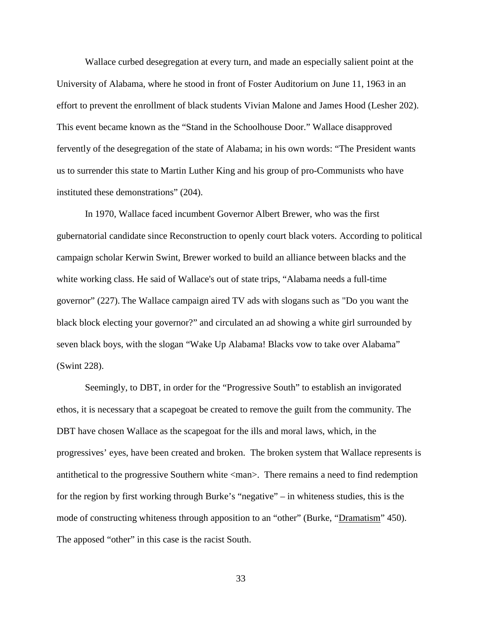Wallace curbed desegregation at every turn, and made an especially salient point at the University of Alabama, where he stood in front of Foster Auditorium on June 11, 1963 in an effort to prevent the enrollment of black students Vivian Malone and James Hood (Lesher 202). This event became known as the "Stand in the Schoolhouse Door." Wallace disapproved fervently of the desegregation of the state of Alabama; in his own words: "The President wants us to surrender this state to Martin Luther King and his group of pro-Communists who have instituted these demonstrations" (204).

In 1970, Wallace faced incumbent Governor Albert Brewer, who was the first gubernatorial candidate since Reconstruction to openly court black voters. According to political campaign scholar Kerwin Swint, Brewer worked to build an alliance between blacks and the white working class. He said of Wallace's out of state trips, "Alabama needs a full-time governor" (227). The Wallace campaign aired TV ads with slogans such as "Do you want the black block electing your governor?" and circulated an ad showing a white girl surrounded by seven black boys, with the slogan "Wake Up Alabama! Blacks vow to take over Alabama" (Swint 228).

 Seemingly, to DBT, in order for the "Progressive South" to establish an invigorated ethos, it is necessary that a scapegoat be created to remove the guilt from the community. The DBT have chosen Wallace as the scapegoat for the ills and moral laws, which, in the progressives' eyes, have been created and broken. The broken system that Wallace represents is antithetical to the progressive Southern white <man>. There remains a need to find redemption for the region by first working through Burke's "negative" – in whiteness studies, this is the mode of constructing whiteness through apposition to an "other" (Burke, "Dramatism" 450). The apposed "other" in this case is the racist South.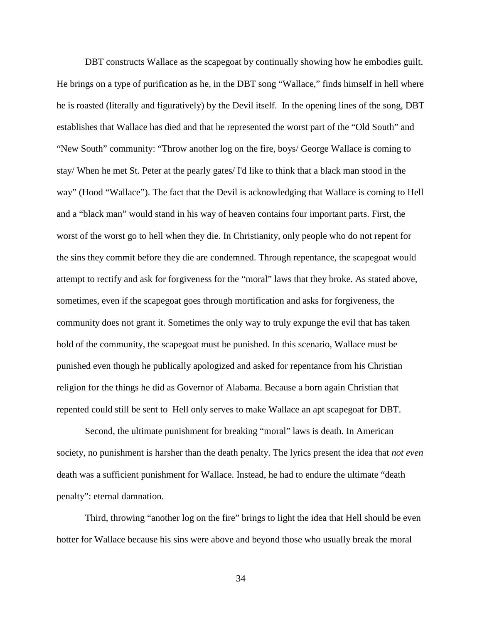DBT constructs Wallace as the scapegoat by continually showing how he embodies guilt. He brings on a type of purification as he, in the DBT song "Wallace," finds himself in hell where he is roasted (literally and figuratively) by the Devil itself. In the opening lines of the song, DBT establishes that Wallace has died and that he represented the worst part of the "Old South" and "New South" community: "Throw another log on the fire, boys/ George Wallace is coming to stay/ When he met St. Peter at the pearly gates/ I'd like to think that a black man stood in the way" (Hood "Wallace"). The fact that the Devil is acknowledging that Wallace is coming to Hell and a "black man" would stand in his way of heaven contains four important parts. First, the worst of the worst go to hell when they die. In Christianity, only people who do not repent for the sins they commit before they die are condemned. Through repentance, the scapegoat would attempt to rectify and ask for forgiveness for the "moral" laws that they broke. As stated above, sometimes, even if the scapegoat goes through mortification and asks for forgiveness, the community does not grant it. Sometimes the only way to truly expunge the evil that has taken hold of the community, the scapegoat must be punished. In this scenario, Wallace must be punished even though he publically apologized and asked for repentance from his Christian religion for the things he did as Governor of Alabama. Because a born again Christian that repented could still be sent to Hell only serves to make Wallace an apt scapegoat for DBT.

Second, the ultimate punishment for breaking "moral" laws is death. In American society, no punishment is harsher than the death penalty. The lyrics present the idea that *not even* death was a sufficient punishment for Wallace. Instead, he had to endure the ultimate "death penalty": eternal damnation.

Third, throwing "another log on the fire" brings to light the idea that Hell should be even hotter for Wallace because his sins were above and beyond those who usually break the moral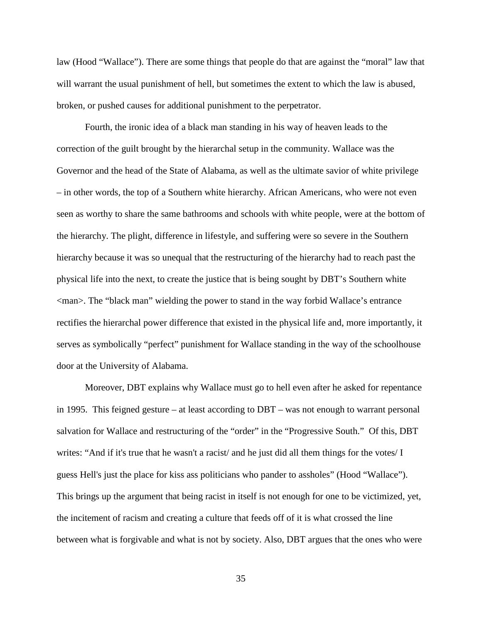law (Hood "Wallace"). There are some things that people do that are against the "moral" law that will warrant the usual punishment of hell, but sometimes the extent to which the law is abused, broken, or pushed causes for additional punishment to the perpetrator.

Fourth, the ironic idea of a black man standing in his way of heaven leads to the correction of the guilt brought by the hierarchal setup in the community. Wallace was the Governor and the head of the State of Alabama, as well as the ultimate savior of white privilege – in other words, the top of a Southern white hierarchy. African Americans, who were not even seen as worthy to share the same bathrooms and schools with white people, were at the bottom of the hierarchy. The plight, difference in lifestyle, and suffering were so severe in the Southern hierarchy because it was so unequal that the restructuring of the hierarchy had to reach past the physical life into the next, to create the justice that is being sought by DBT's Southern white <man>. The "black man" wielding the power to stand in the way forbid Wallace's entrance rectifies the hierarchal power difference that existed in the physical life and, more importantly, it serves as symbolically "perfect" punishment for Wallace standing in the way of the schoolhouse door at the University of Alabama.

Moreover, DBT explains why Wallace must go to hell even after he asked for repentance in 1995. This feigned gesture – at least according to DBT – was not enough to warrant personal salvation for Wallace and restructuring of the "order" in the "Progressive South." Of this, DBT writes: "And if it's true that he wasn't a racist/ and he just did all them things for the votes/ I guess Hell's just the place for kiss ass politicians who pander to assholes" (Hood "Wallace"). This brings up the argument that being racist in itself is not enough for one to be victimized, yet, the incitement of racism and creating a culture that feeds off of it is what crossed the line between what is forgivable and what is not by society. Also, DBT argues that the ones who were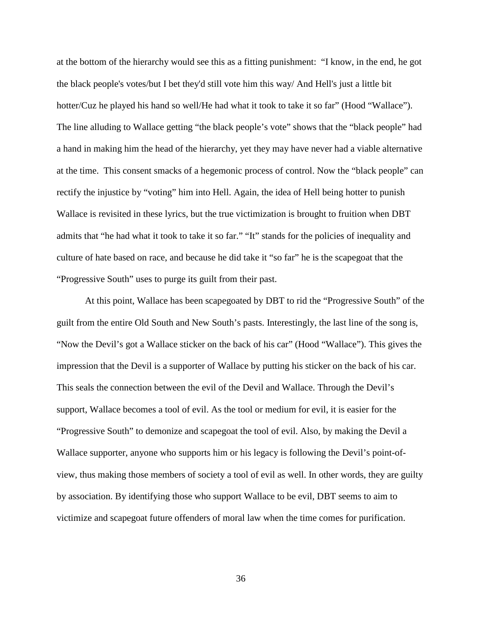at the bottom of the hierarchy would see this as a fitting punishment: "I know, in the end, he got the black people's votes/but I bet they'd still vote him this way/ And Hell's just a little bit hotter/Cuz he played his hand so well/He had what it took to take it so far" (Hood "Wallace"). The line alluding to Wallace getting "the black people's vote" shows that the "black people" had a hand in making him the head of the hierarchy, yet they may have never had a viable alternative at the time. This consent smacks of a hegemonic process of control. Now the "black people" can rectify the injustice by "voting" him into Hell. Again, the idea of Hell being hotter to punish Wallace is revisited in these lyrics, but the true victimization is brought to fruition when DBT admits that "he had what it took to take it so far." "It" stands for the policies of inequality and culture of hate based on race, and because he did take it "so far" he is the scapegoat that the "Progressive South" uses to purge its guilt from their past.

At this point, Wallace has been scapegoated by DBT to rid the "Progressive South" of the guilt from the entire Old South and New South's pasts. Interestingly, the last line of the song is, "Now the Devil's got a Wallace sticker on the back of his car" (Hood "Wallace"). This gives the impression that the Devil is a supporter of Wallace by putting his sticker on the back of his car. This seals the connection between the evil of the Devil and Wallace. Through the Devil's support, Wallace becomes a tool of evil. As the tool or medium for evil, it is easier for the "Progressive South" to demonize and scapegoat the tool of evil. Also, by making the Devil a Wallace supporter, anyone who supports him or his legacy is following the Devil's point-ofview, thus making those members of society a tool of evil as well. In other words, they are guilty by association. By identifying those who support Wallace to be evil, DBT seems to aim to victimize and scapegoat future offenders of moral law when the time comes for purification.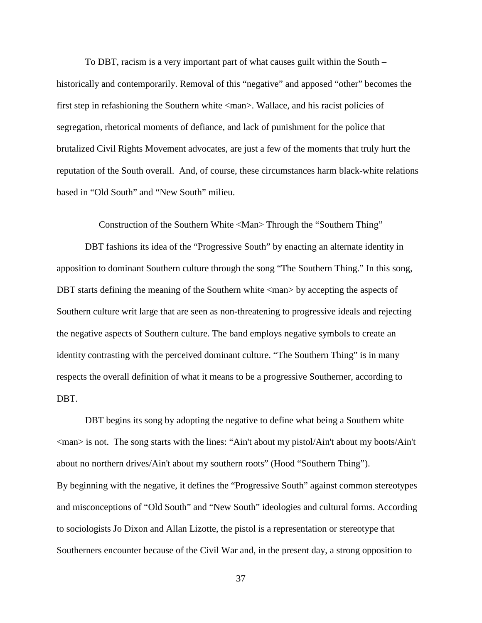To DBT, racism is a very important part of what causes guilt within the South – historically and contemporarily. Removal of this "negative" and apposed "other" becomes the first step in refashioning the Southern white <man>. Wallace, and his racist policies of segregation, rhetorical moments of defiance, and lack of punishment for the police that brutalized Civil Rights Movement advocates, are just a few of the moments that truly hurt the reputation of the South overall. And, of course, these circumstances harm black-white relations based in "Old South" and "New South" milieu.

## Construction of the Southern White <Man> Through the "Southern Thing"

DBT fashions its idea of the "Progressive South" by enacting an alternate identity in apposition to dominant Southern culture through the song "The Southern Thing." In this song, DBT starts defining the meaning of the Southern white  $\langle$ man $\rangle$  by accepting the aspects of Southern culture writ large that are seen as non-threatening to progressive ideals and rejecting the negative aspects of Southern culture. The band employs negative symbols to create an identity contrasting with the perceived dominant culture. "The Southern Thing" is in many respects the overall definition of what it means to be a progressive Southerner, according to DBT.

DBT begins its song by adopting the negative to define what being a Southern white <man> is not. The song starts with the lines: "Ain't about my pistol/Ain't about my boots/Ain't about no northern drives/Ain't about my southern roots" (Hood "Southern Thing"). By beginning with the negative, it defines the "Progressive South" against common stereotypes and misconceptions of "Old South" and "New South" ideologies and cultural forms. According to sociologists Jo Dixon and Allan Lizotte, the pistol is a representation or stereotype that Southerners encounter because of the Civil War and, in the present day, a strong opposition to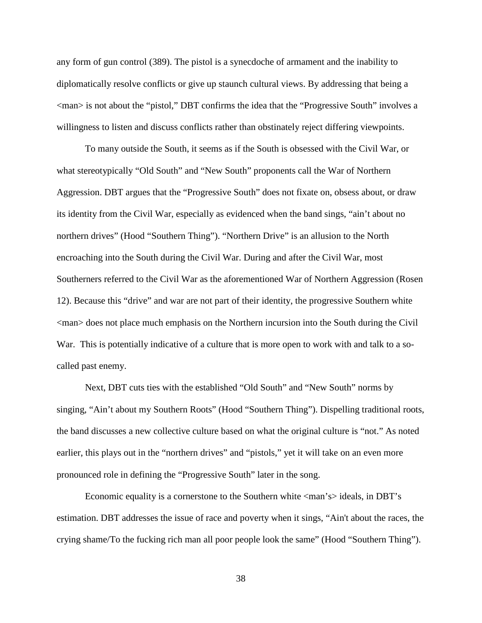any form of gun control (389). The pistol is a synecdoche of armament and the inability to diplomatically resolve conflicts or give up staunch cultural views. By addressing that being a  $\alpha$  <man> is not about the "pistol," DBT confirms the idea that the "Progressive South" involves a willingness to listen and discuss conflicts rather than obstinately reject differing viewpoints.

 To many outside the South, it seems as if the South is obsessed with the Civil War, or what stereotypically "Old South" and "New South" proponents call the War of Northern Aggression. DBT argues that the "Progressive South" does not fixate on, obsess about, or draw its identity from the Civil War, especially as evidenced when the band sings, "ain't about no northern drives" (Hood "Southern Thing"). "Northern Drive" is an allusion to the North encroaching into the South during the Civil War. During and after the Civil War, most Southerners referred to the Civil War as the aforementioned War of Northern Aggression (Rosen 12). Because this "drive" and war are not part of their identity, the progressive Southern white <man> does not place much emphasis on the Northern incursion into the South during the Civil War. This is potentially indicative of a culture that is more open to work with and talk to a socalled past enemy.

 Next, DBT cuts ties with the established "Old South" and "New South" norms by singing, "Ain't about my Southern Roots" (Hood "Southern Thing"). Dispelling traditional roots, the band discusses a new collective culture based on what the original culture is "not." As noted earlier, this plays out in the "northern drives" and "pistols," yet it will take on an even more pronounced role in defining the "Progressive South" later in the song.

 Economic equality is a cornerstone to the Southern white <man's> ideals, in DBT's estimation. DBT addresses the issue of race and poverty when it sings, "Ain't about the races, the crying shame/To the fucking rich man all poor people look the same" (Hood "Southern Thing").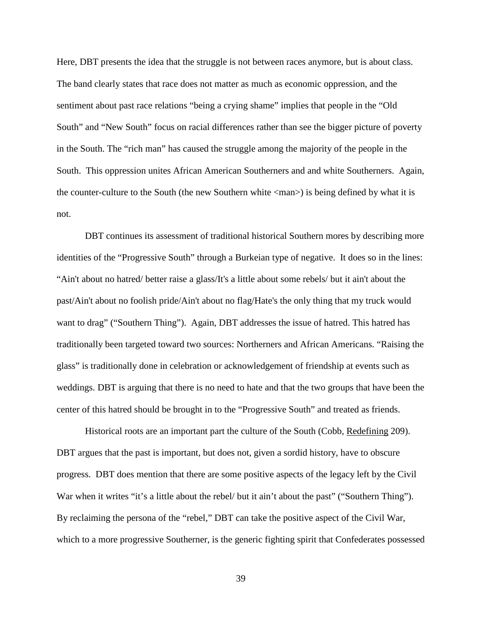Here, DBT presents the idea that the struggle is not between races anymore, but is about class. The band clearly states that race does not matter as much as economic oppression, and the sentiment about past race relations "being a crying shame" implies that people in the "Old South" and "New South" focus on racial differences rather than see the bigger picture of poverty in the South. The "rich man" has caused the struggle among the majority of the people in the South. This oppression unites African American Southerners and and white Southerners. Again, the counter-culture to the South (the new Southern white <man>) is being defined by what it is not.

 DBT continues its assessment of traditional historical Southern mores by describing more identities of the "Progressive South" through a Burkeian type of negative. It does so in the lines: "Ain't about no hatred/ better raise a glass/It's a little about some rebels/ but it ain't about the past/Ain't about no foolish pride/Ain't about no flag/Hate's the only thing that my truck would want to drag" ("Southern Thing"). Again, DBT addresses the issue of hatred. This hatred has traditionally been targeted toward two sources: Northerners and African Americans. "Raising the glass" is traditionally done in celebration or acknowledgement of friendship at events such as weddings. DBT is arguing that there is no need to hate and that the two groups that have been the center of this hatred should be brought in to the "Progressive South" and treated as friends.

 Historical roots are an important part the culture of the South (Cobb, Redefining 209). DBT argues that the past is important, but does not, given a sordid history, have to obscure progress. DBT does mention that there are some positive aspects of the legacy left by the Civil War when it writes "it's a little about the rebel/ but it ain't about the past" ("Southern Thing"). By reclaiming the persona of the "rebel," DBT can take the positive aspect of the Civil War, which to a more progressive Southerner, is the generic fighting spirit that Confederates possessed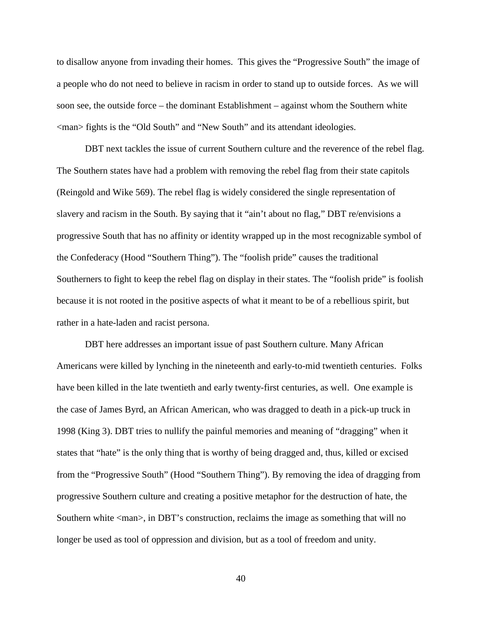to disallow anyone from invading their homes. This gives the "Progressive South" the image of a people who do not need to believe in racism in order to stand up to outside forces. As we will soon see, the outside force – the dominant Establishment – against whom the Southern white <man> fights is the "Old South" and "New South" and its attendant ideologies.

DBT next tackles the issue of current Southern culture and the reverence of the rebel flag. The Southern states have had a problem with removing the rebel flag from their state capitols (Reingold and Wike 569). The rebel flag is widely considered the single representation of slavery and racism in the South. By saying that it "ain't about no flag," DBT re/envisions a progressive South that has no affinity or identity wrapped up in the most recognizable symbol of the Confederacy (Hood "Southern Thing"). The "foolish pride" causes the traditional Southerners to fight to keep the rebel flag on display in their states. The "foolish pride" is foolish because it is not rooted in the positive aspects of what it meant to be of a rebellious spirit, but rather in a hate-laden and racist persona.

DBT here addresses an important issue of past Southern culture. Many African Americans were killed by lynching in the nineteenth and early-to-mid twentieth centuries. Folks have been killed in the late twentieth and early twenty-first centuries, as well. One example is the case of James Byrd, an African American, who was dragged to death in a pick-up truck in 1998 (King 3). DBT tries to nullify the painful memories and meaning of "dragging" when it states that "hate" is the only thing that is worthy of being dragged and, thus, killed or excised from the "Progressive South" (Hood "Southern Thing"). By removing the idea of dragging from progressive Southern culture and creating a positive metaphor for the destruction of hate, the Southern white <man>, in DBT's construction, reclaims the image as something that will no longer be used as tool of oppression and division, but as a tool of freedom and unity.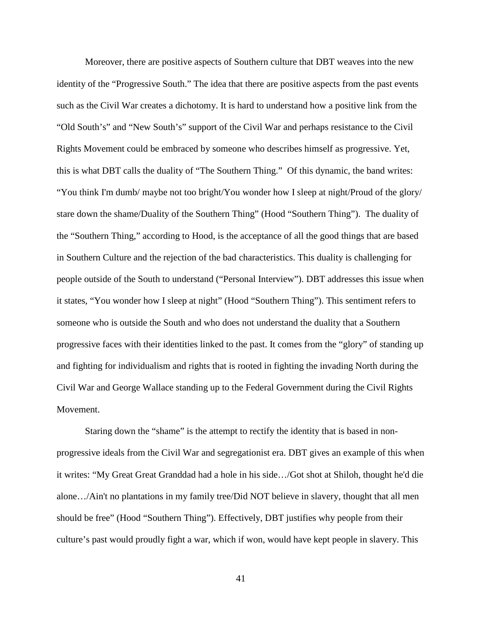Moreover, there are positive aspects of Southern culture that DBT weaves into the new identity of the "Progressive South." The idea that there are positive aspects from the past events such as the Civil War creates a dichotomy. It is hard to understand how a positive link from the "Old South's" and "New South's" support of the Civil War and perhaps resistance to the Civil Rights Movement could be embraced by someone who describes himself as progressive. Yet, this is what DBT calls the duality of "The Southern Thing." Of this dynamic, the band writes: "You think I'm dumb/ maybe not too bright/You wonder how I sleep at night/Proud of the glory/ stare down the shame/Duality of the Southern Thing" (Hood "Southern Thing"). The duality of the "Southern Thing," according to Hood, is the acceptance of all the good things that are based in Southern Culture and the rejection of the bad characteristics. This duality is challenging for people outside of the South to understand ("Personal Interview"). DBT addresses this issue when it states, "You wonder how I sleep at night" (Hood "Southern Thing"). This sentiment refers to someone who is outside the South and who does not understand the duality that a Southern progressive faces with their identities linked to the past. It comes from the "glory" of standing up and fighting for individualism and rights that is rooted in fighting the invading North during the Civil War and George Wallace standing up to the Federal Government during the Civil Rights Movement.

Staring down the "shame" is the attempt to rectify the identity that is based in nonprogressive ideals from the Civil War and segregationist era. DBT gives an example of this when it writes: "My Great Great Granddad had a hole in his side…/Got shot at Shiloh, thought he'd die alone…/Ain't no plantations in my family tree/Did NOT believe in slavery, thought that all men should be free" (Hood "Southern Thing"). Effectively, DBT justifies why people from their culture's past would proudly fight a war, which if won, would have kept people in slavery. This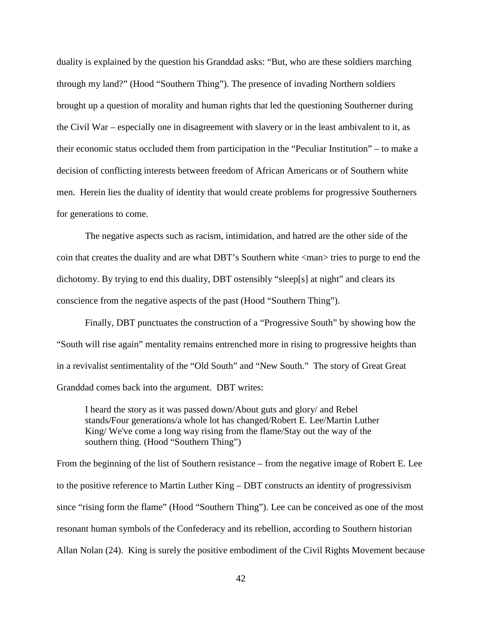duality is explained by the question his Granddad asks: "But, who are these soldiers marching through my land?" (Hood "Southern Thing"). The presence of invading Northern soldiers brought up a question of morality and human rights that led the questioning Southerner during the Civil War – especially one in disagreement with slavery or in the least ambivalent to it, as their economic status occluded them from participation in the "Peculiar Institution" – to make a decision of conflicting interests between freedom of African Americans or of Southern white men. Herein lies the duality of identity that would create problems for progressive Southerners for generations to come.

 The negative aspects such as racism, intimidation, and hatred are the other side of the coin that creates the duality and are what DBT's Southern white <man> tries to purge to end the dichotomy. By trying to end this duality, DBT ostensibly "sleep[s] at night" and clears its conscience from the negative aspects of the past (Hood "Southern Thing").

 Finally, DBT punctuates the construction of a "Progressive South" by showing how the "South will rise again" mentality remains entrenched more in rising to progressive heights than in a revivalist sentimentality of the "Old South" and "New South." The story of Great Great Granddad comes back into the argument. DBT writes:

I heard the story as it was passed down/About guts and glory/ and Rebel stands/Four generations/a whole lot has changed/Robert E. Lee/Martin Luther King/ We've come a long way rising from the flame/Stay out the way of the southern thing. (Hood "Southern Thing")

From the beginning of the list of Southern resistance – from the negative image of Robert E. Lee to the positive reference to Martin Luther King – DBT constructs an identity of progressivism since "rising form the flame" (Hood "Southern Thing"). Lee can be conceived as one of the most resonant human symbols of the Confederacy and its rebellion, according to Southern historian Allan Nolan (24). King is surely the positive embodiment of the Civil Rights Movement because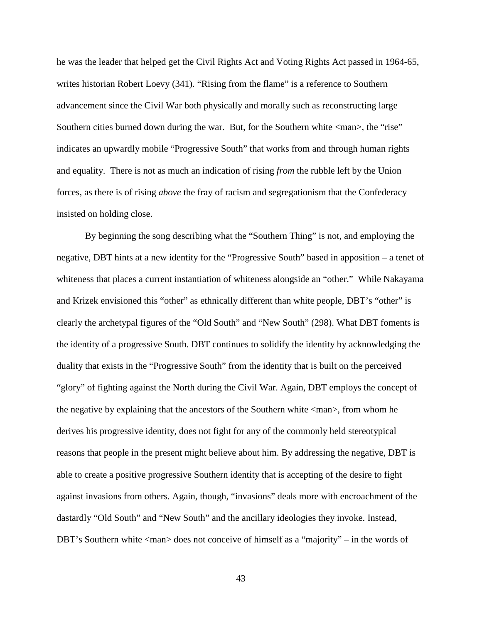he was the leader that helped get the Civil Rights Act and Voting Rights Act passed in 1964-65, writes historian Robert Loevy (341). "Rising from the flame" is a reference to Southern advancement since the Civil War both physically and morally such as reconstructing large Southern cities burned down during the war. But, for the Southern white  $\langle$ man $\rangle$ , the "rise" indicates an upwardly mobile "Progressive South" that works from and through human rights and equality. There is not as much an indication of rising *from* the rubble left by the Union forces, as there is of rising *above* the fray of racism and segregationism that the Confederacy insisted on holding close.

 By beginning the song describing what the "Southern Thing" is not, and employing the negative, DBT hints at a new identity for the "Progressive South" based in apposition – a tenet of whiteness that places a current instantiation of whiteness alongside an "other." While Nakayama and Krizek envisioned this "other" as ethnically different than white people, DBT's "other" is clearly the archetypal figures of the "Old South" and "New South" (298). What DBT foments is the identity of a progressive South. DBT continues to solidify the identity by acknowledging the duality that exists in the "Progressive South" from the identity that is built on the perceived "glory" of fighting against the North during the Civil War. Again, DBT employs the concept of the negative by explaining that the ancestors of the Southern white <man>, from whom he derives his progressive identity, does not fight for any of the commonly held stereotypical reasons that people in the present might believe about him. By addressing the negative, DBT is able to create a positive progressive Southern identity that is accepting of the desire to fight against invasions from others. Again, though, "invasions" deals more with encroachment of the dastardly "Old South" and "New South" and the ancillary ideologies they invoke. Instead, DBT's Southern white  $\langle$ man $\rangle$  does not conceive of himself as a "majority" – in the words of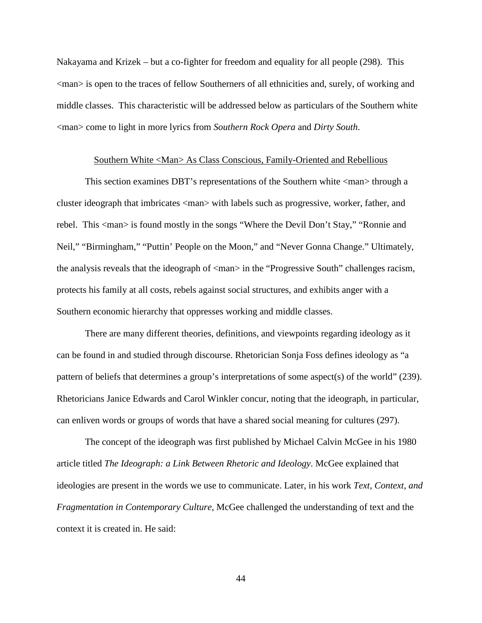Nakayama and Krizek – but a co-fighter for freedom and equality for all people (298). This <man> is open to the traces of fellow Southerners of all ethnicities and, surely, of working and middle classes. This characteristic will be addressed below as particulars of the Southern white <man> come to light in more lyrics from *Southern Rock Opera* and *Dirty South*.

## Southern White <Man> As Class Conscious, Family-Oriented and Rebellious

This section examines DBT's representations of the Southern white  $\langle$ man $\rangle$  through a cluster ideograph that imbricates <man> with labels such as progressive, worker, father, and rebel. This <man> is found mostly in the songs "Where the Devil Don't Stay," "Ronnie and Neil," "Birmingham," "Puttin' People on the Moon," and "Never Gonna Change." Ultimately, the analysis reveals that the ideograph of  $\langle$ man $\rangle$  in the "Progressive South" challenges racism, protects his family at all costs, rebels against social structures, and exhibits anger with a Southern economic hierarchy that oppresses working and middle classes.

There are many different theories, definitions, and viewpoints regarding ideology as it can be found in and studied through discourse. Rhetorician Sonja Foss defines ideology as "a pattern of beliefs that determines a group's interpretations of some aspect(s) of the world" (239). Rhetoricians Janice Edwards and Carol Winkler concur, noting that the ideograph, in particular, can enliven words or groups of words that have a shared social meaning for cultures (297).

The concept of the ideograph was first published by Michael Calvin McGee in his 1980 article titled *The Ideograph: a Link Between Rhetoric and Ideology*. McGee explained that ideologies are present in the words we use to communicate. Later, in his work *Text, Context, and Fragmentation in Contemporary Culture*, McGee challenged the understanding of text and the context it is created in. He said: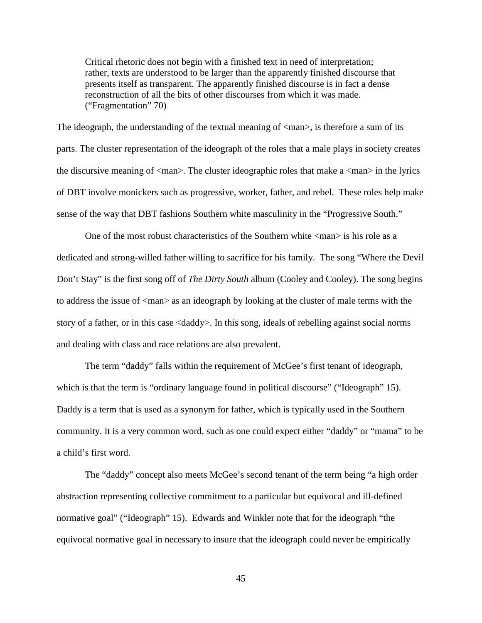Critical rhetoric does not begin with a finished text in need of interpretation; rather, texts are understood to be larger than the apparently finished discourse that presents itself as transparent. The apparently finished discourse is in fact a dense reconstruction of all the bits of other discourses from which it was made. ("Fragmentation" 70)

The ideograph, the understanding of the textual meaning of  $\langle$ man $\rangle$ , is therefore a sum of its parts. The cluster representation of the ideograph of the roles that a male plays in society creates the discursive meaning of  $\langle$ man $\rangle$ . The cluster ideographic roles that make a  $\langle$ man $\rangle$  in the lyrics of DBT involve monickers such as progressive, worker, father, and rebel. These roles help make sense of the way that DBT fashions Southern white masculinity in the "Progressive South."

One of the most robust characteristics of the Southern white  $\langle$ man $\rangle$  is his role as a dedicated and strong-willed father willing to sacrifice for his family. The song "Where the Devil Don't Stay" is the first song off of *The Dirty South* album (Cooley and Cooley). The song begins to address the issue of  $\langle$ man $\rangle$  as an ideograph by looking at the cluster of male terms with the story of a father, or in this case <daddy>. In this song, ideals of rebelling against social norms and dealing with class and race relations are also prevalent.

The term "daddy" falls within the requirement of McGee's first tenant of ideograph, which is that the term is "ordinary language found in political discourse" ("Ideograph" 15). Daddy is a term that is used as a synonym for father, which is typically used in the Southern community. It is a very common word, such as one could expect either "daddy" or "mama" to be a child's first word.

 The "daddy" concept also meets McGee's second tenant of the term being "a high order abstraction representing collective commitment to a particular but equivocal and ill-defined normative goal" ("Ideograph" 15). Edwards and Winkler note that for the ideograph "the equivocal normative goal in necessary to insure that the ideograph could never be empirically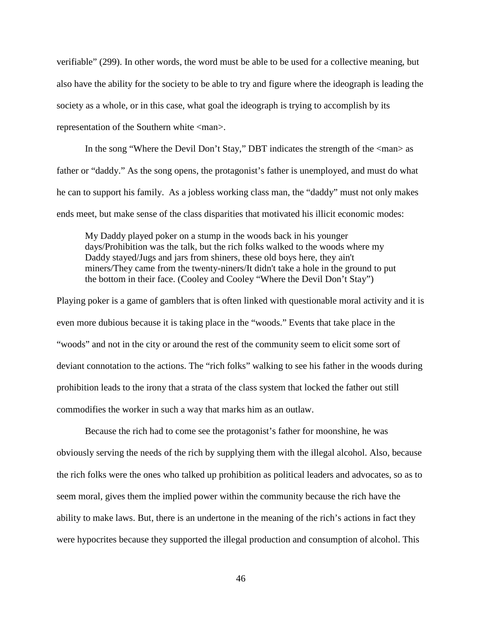verifiable" (299). In other words, the word must be able to be used for a collective meaning, but also have the ability for the society to be able to try and figure where the ideograph is leading the society as a whole, or in this case, what goal the ideograph is trying to accomplish by its representation of the Southern white <man>.

In the song "Where the Devil Don't Stay," DBT indicates the strength of the  $\langle$ man $\rangle$  as father or "daddy." As the song opens, the protagonist's father is unemployed, and must do what he can to support his family. As a jobless working class man, the "daddy" must not only makes ends meet, but make sense of the class disparities that motivated his illicit economic modes:

My Daddy played poker on a stump in the woods back in his younger days/Prohibition was the talk, but the rich folks walked to the woods where my Daddy stayed/Jugs and jars from shiners, these old boys here, they ain't miners/They came from the twenty-niners/It didn't take a hole in the ground to put the bottom in their face. (Cooley and Cooley "Where the Devil Don't Stay")

Playing poker is a game of gamblers that is often linked with questionable moral activity and it is even more dubious because it is taking place in the "woods." Events that take place in the "woods" and not in the city or around the rest of the community seem to elicit some sort of deviant connotation to the actions. The "rich folks" walking to see his father in the woods during prohibition leads to the irony that a strata of the class system that locked the father out still commodifies the worker in such a way that marks him as an outlaw.

 Because the rich had to come see the protagonist's father for moonshine, he was obviously serving the needs of the rich by supplying them with the illegal alcohol. Also, because the rich folks were the ones who talked up prohibition as political leaders and advocates, so as to seem moral, gives them the implied power within the community because the rich have the ability to make laws. But, there is an undertone in the meaning of the rich's actions in fact they were hypocrites because they supported the illegal production and consumption of alcohol. This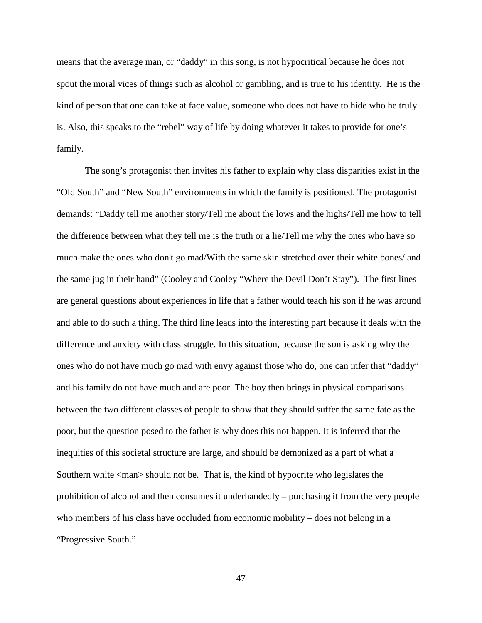means that the average man, or "daddy" in this song, is not hypocritical because he does not spout the moral vices of things such as alcohol or gambling, and is true to his identity. He is the kind of person that one can take at face value, someone who does not have to hide who he truly is. Also, this speaks to the "rebel" way of life by doing whatever it takes to provide for one's family.

 The song's protagonist then invites his father to explain why class disparities exist in the "Old South" and "New South" environments in which the family is positioned. The protagonist demands: "Daddy tell me another story/Tell me about the lows and the highs/Tell me how to tell the difference between what they tell me is the truth or a lie/Tell me why the ones who have so much make the ones who don't go mad/With the same skin stretched over their white bones/ and the same jug in their hand" (Cooley and Cooley "Where the Devil Don't Stay"). The first lines are general questions about experiences in life that a father would teach his son if he was around and able to do such a thing. The third line leads into the interesting part because it deals with the difference and anxiety with class struggle. In this situation, because the son is asking why the ones who do not have much go mad with envy against those who do, one can infer that "daddy" and his family do not have much and are poor. The boy then brings in physical comparisons between the two different classes of people to show that they should suffer the same fate as the poor, but the question posed to the father is why does this not happen. It is inferred that the inequities of this societal structure are large, and should be demonized as a part of what a Southern white <man> should not be. That is, the kind of hypocrite who legislates the prohibition of alcohol and then consumes it underhandedly – purchasing it from the very people who members of his class have occluded from economic mobility – does not belong in a "Progressive South."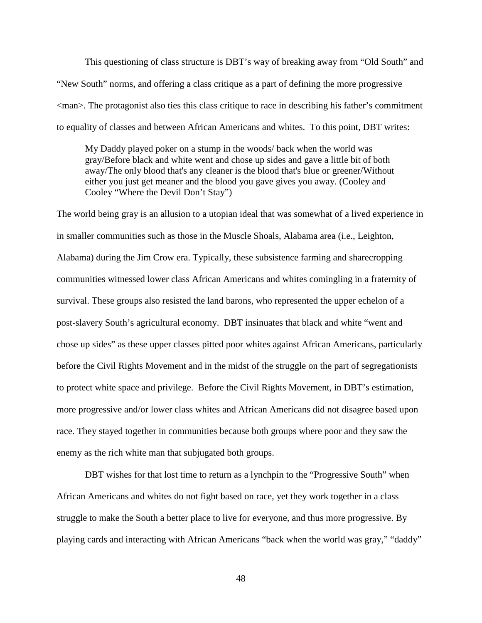This questioning of class structure is DBT's way of breaking away from "Old South" and "New South" norms, and offering a class critique as a part of defining the more progressive <man>. The protagonist also ties this class critique to race in describing his father's commitment to equality of classes and between African Americans and whites. To this point, DBT writes:

My Daddy played poker on a stump in the woods/ back when the world was gray/Before black and white went and chose up sides and gave a little bit of both away/The only blood that's any cleaner is the blood that's blue or greener/Without either you just get meaner and the blood you gave gives you away. (Cooley and Cooley "Where the Devil Don't Stay")

The world being gray is an allusion to a utopian ideal that was somewhat of a lived experience in in smaller communities such as those in the Muscle Shoals, Alabama area (i.e., Leighton, Alabama) during the Jim Crow era. Typically, these subsistence farming and sharecropping communities witnessed lower class African Americans and whites comingling in a fraternity of survival. These groups also resisted the land barons, who represented the upper echelon of a post-slavery South's agricultural economy. DBT insinuates that black and white "went and chose up sides" as these upper classes pitted poor whites against African Americans, particularly before the Civil Rights Movement and in the midst of the struggle on the part of segregationists to protect white space and privilege. Before the Civil Rights Movement, in DBT's estimation, more progressive and/or lower class whites and African Americans did not disagree based upon race. They stayed together in communities because both groups where poor and they saw the enemy as the rich white man that subjugated both groups.

 DBT wishes for that lost time to return as a lynchpin to the "Progressive South" when African Americans and whites do not fight based on race, yet they work together in a class struggle to make the South a better place to live for everyone, and thus more progressive. By playing cards and interacting with African Americans "back when the world was gray," "daddy"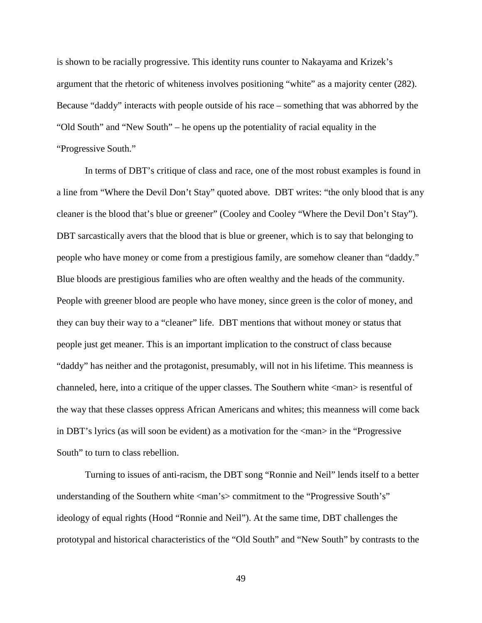is shown to be racially progressive. This identity runs counter to Nakayama and Krizek's argument that the rhetoric of whiteness involves positioning "white" as a majority center (282). Because "daddy" interacts with people outside of his race – something that was abhorred by the "Old South" and "New South" – he opens up the potentiality of racial equality in the "Progressive South."

In terms of DBT's critique of class and race, one of the most robust examples is found in a line from "Where the Devil Don't Stay" quoted above. DBT writes: "the only blood that is any cleaner is the blood that's blue or greener" (Cooley and Cooley "Where the Devil Don't Stay"). DBT sarcastically avers that the blood that is blue or greener, which is to say that belonging to people who have money or come from a prestigious family, are somehow cleaner than "daddy." Blue bloods are prestigious families who are often wealthy and the heads of the community. People with greener blood are people who have money, since green is the color of money, and they can buy their way to a "cleaner" life. DBT mentions that without money or status that people just get meaner. This is an important implication to the construct of class because "daddy" has neither and the protagonist, presumably, will not in his lifetime. This meanness is channeled, here, into a critique of the upper classes. The Southern white <man> is resentful of the way that these classes oppress African Americans and whites; this meanness will come back in DBT's lyrics (as will soon be evident) as a motivation for the <man> in the "Progressive South" to turn to class rebellion.

 Turning to issues of anti-racism, the DBT song "Ronnie and Neil" lends itself to a better understanding of the Southern white  $\langle$ man's $\rangle$  commitment to the "Progressive South's" ideology of equal rights (Hood "Ronnie and Neil"). At the same time, DBT challenges the prototypal and historical characteristics of the "Old South" and "New South" by contrasts to the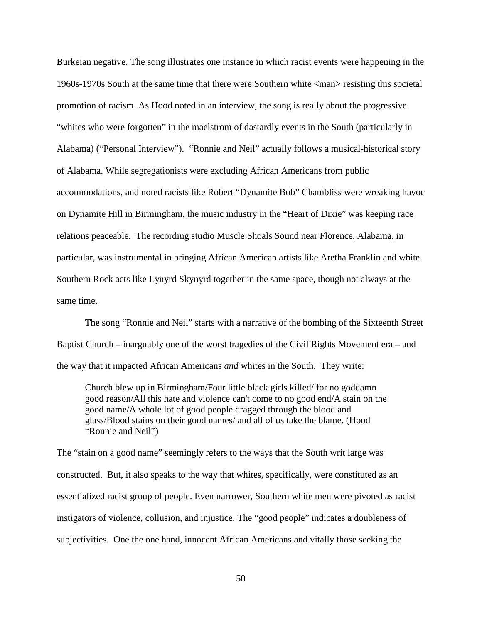Burkeian negative. The song illustrates one instance in which racist events were happening in the 1960s-1970s South at the same time that there were Southern white <man> resisting this societal promotion of racism. As Hood noted in an interview, the song is really about the progressive "whites who were forgotten" in the maelstrom of dastardly events in the South (particularly in Alabama) ("Personal Interview"). "Ronnie and Neil" actually follows a musical-historical story of Alabama. While segregationists were excluding African Americans from public accommodations, and noted racists like Robert "Dynamite Bob" Chambliss were wreaking havoc on Dynamite Hill in Birmingham, the music industry in the "Heart of Dixie" was keeping race relations peaceable. The recording studio Muscle Shoals Sound near Florence, Alabama, in particular, was instrumental in bringing African American artists like Aretha Franklin and white Southern Rock acts like Lynyrd Skynyrd together in the same space, though not always at the same time.

 The song "Ronnie and Neil" starts with a narrative of the bombing of the Sixteenth Street Baptist Church – inarguably one of the worst tragedies of the Civil Rights Movement era – and the way that it impacted African Americans *and* whites in the South. They write:

Church blew up in Birmingham/Four little black girls killed/ for no goddamn good reason/All this hate and violence can't come to no good end/A stain on the good name/A whole lot of good people dragged through the blood and glass/Blood stains on their good names/ and all of us take the blame. (Hood "Ronnie and Neil")

The "stain on a good name" seemingly refers to the ways that the South writ large was constructed. But, it also speaks to the way that whites, specifically, were constituted as an essentialized racist group of people. Even narrower, Southern white men were pivoted as racist instigators of violence, collusion, and injustice. The "good people" indicates a doubleness of subjectivities. One the one hand, innocent African Americans and vitally those seeking the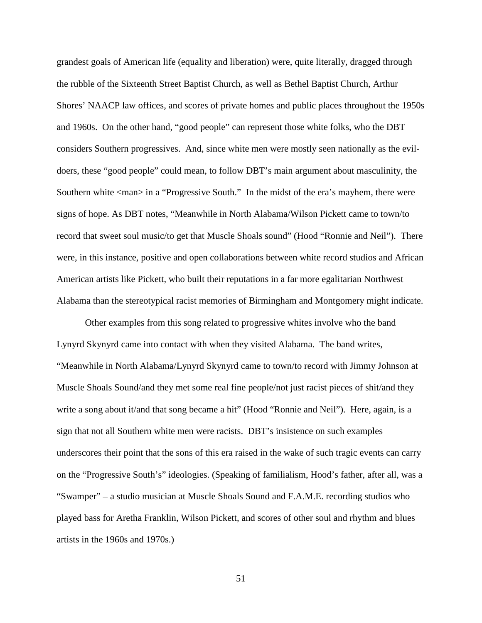grandest goals of American life (equality and liberation) were, quite literally, dragged through the rubble of the Sixteenth Street Baptist Church, as well as Bethel Baptist Church, Arthur Shores' NAACP law offices, and scores of private homes and public places throughout the 1950s and 1960s. On the other hand, "good people" can represent those white folks, who the DBT considers Southern progressives. And, since white men were mostly seen nationally as the evildoers, these "good people" could mean, to follow DBT's main argument about masculinity, the Southern white <man> in a "Progressive South." In the midst of the era's mayhem, there were signs of hope. As DBT notes, "Meanwhile in North Alabama/Wilson Pickett came to town/to record that sweet soul music/to get that Muscle Shoals sound" (Hood "Ronnie and Neil"). There were, in this instance, positive and open collaborations between white record studios and African American artists like Pickett, who built their reputations in a far more egalitarian Northwest Alabama than the stereotypical racist memories of Birmingham and Montgomery might indicate.

 Other examples from this song related to progressive whites involve who the band Lynyrd Skynyrd came into contact with when they visited Alabama. The band writes, "Meanwhile in North Alabama/Lynyrd Skynyrd came to town/to record with Jimmy Johnson at Muscle Shoals Sound/and they met some real fine people/not just racist pieces of shit/and they write a song about it/and that song became a hit" (Hood "Ronnie and Neil"). Here, again, is a sign that not all Southern white men were racists. DBT's insistence on such examples underscores their point that the sons of this era raised in the wake of such tragic events can carry on the "Progressive South's" ideologies. (Speaking of familialism, Hood's father, after all, was a "Swamper" – a studio musician at Muscle Shoals Sound and F.A.M.E. recording studios who played bass for Aretha Franklin, Wilson Pickett, and scores of other soul and rhythm and blues artists in the 1960s and 1970s.)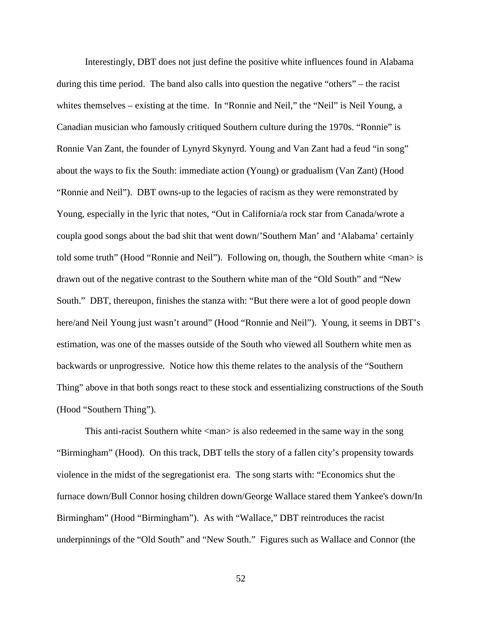Interestingly, DBT does not just define the positive white influences found in Alabama during this time period. The band also calls into question the negative "others" – the racist whites themselves – existing at the time. In "Ronnie and Neil," the "Neil" is Neil Young, a Canadian musician who famously critiqued Southern culture during the 1970s. "Ronnie" is Ronnie Van Zant, the founder of Lynyrd Skynyrd. Young and Van Zant had a feud "in song" about the ways to fix the South: immediate action (Young) or gradualism (Van Zant) (Hood "Ronnie and Neil"). DBT owns-up to the legacies of racism as they were remonstrated by Young, especially in the lyric that notes, "Out in California' a rock star from Canada' wrote a coupla good songs about the bad shit that went down/'Southern Man' and 'Alabama' certainly told some truth" (Hood "Ronnie and Neil"). Following on, though, the Southern white  $\langle$ man $\rangle$  is drawn out of the negative contrast to the Southern white man of the "Old South" and "New South." DBT, thereupon, finishes the stanza with: "But there were a lot of good people down here/and Neil Young just wasn't around" (Hood "Ronnie and Neil"). Young, it seems in DBT's estimation, was one of the masses outside of the South who viewed all Southern white men as backwards or unprogressive. Notice how this theme relates to the analysis of the "Southern Thing" above in that both songs react to these stock and essentializing constructions of the South (Hood "Southern Thing").

 This anti-racist Southern white <man> is also redeemed in the same way in the song "Birmingham" (Hood). On this track, DBT tells the story of a fallen city's propensity towards violence in the midst of the segregationist era. The song starts with: "Economics shut the furnace down/Bull Connor hosing children down/George Wallace stared them Yankee's down/In Birmingham" (Hood "Birmingham"). As with "Wallace," DBT reintroduces the racist underpinnings of the "Old South" and "New South." Figures such as Wallace and Connor (the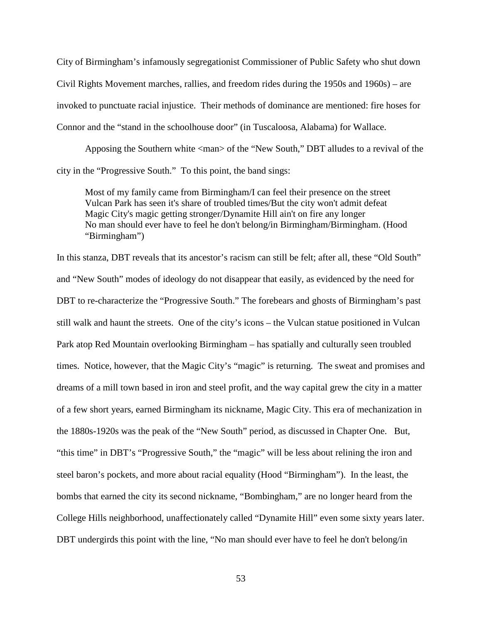City of Birmingham's infamously segregationist Commissioner of Public Safety who shut down Civil Rights Movement marches, rallies, and freedom rides during the 1950s and 1960s) – are invoked to punctuate racial injustice. Their methods of dominance are mentioned: fire hoses for Connor and the "stand in the schoolhouse door" (in Tuscaloosa, Alabama) for Wallace.

 Apposing the Southern white <man> of the "New South," DBT alludes to a revival of the city in the "Progressive South." To this point, the band sings:

 Most of my family came from Birmingham/I can feel their presence on the street Vulcan Park has seen it's share of troubled times/But the city won't admit defeat Magic City's magic getting stronger/Dynamite Hill ain't on fire any longer No man should ever have to feel he don't belong/in Birmingham/Birmingham. (Hood "Birmingham")

In this stanza, DBT reveals that its ancestor's racism can still be felt; after all, these "Old South" and "New South" modes of ideology do not disappear that easily, as evidenced by the need for DBT to re-characterize the "Progressive South." The forebears and ghosts of Birmingham's past still walk and haunt the streets. One of the city's icons – the Vulcan statue positioned in Vulcan Park atop Red Mountain overlooking Birmingham – has spatially and culturally seen troubled times. Notice, however, that the Magic City's "magic" is returning. The sweat and promises and dreams of a mill town based in iron and steel profit, and the way capital grew the city in a matter of a few short years, earned Birmingham its nickname, Magic City. This era of mechanization in the 1880s-1920s was the peak of the "New South" period, as discussed in Chapter One. But, "this time" in DBT's "Progressive South," the "magic" will be less about relining the iron and steel baron's pockets, and more about racial equality (Hood "Birmingham"). In the least, the bombs that earned the city its second nickname, "Bombingham," are no longer heard from the College Hills neighborhood, unaffectionately called "Dynamite Hill" even some sixty years later. DBT undergirds this point with the line, "No man should ever have to feel he don't belong/in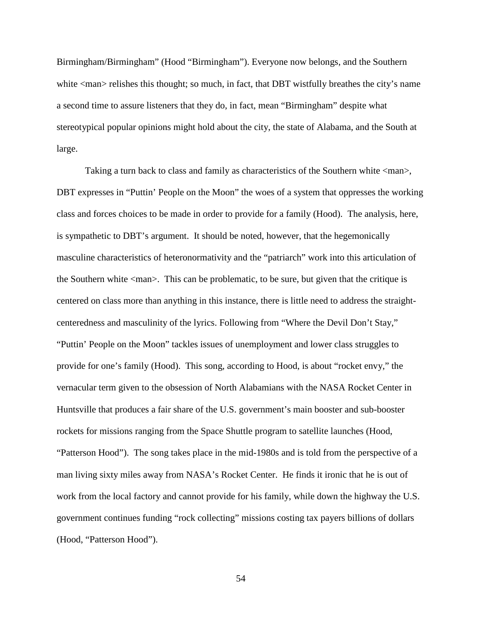Birmingham/Birmingham" (Hood "Birmingham"). Everyone now belongs, and the Southern white  $\langle$ man $\rangle$  relishes this thought; so much, in fact, that DBT wistfully breathes the city's name a second time to assure listeners that they do, in fact, mean "Birmingham" despite what stereotypical popular opinions might hold about the city, the state of Alabama, and the South at large.

Taking a turn back to class and family as characteristics of the Southern white  $\langle$ man $\rangle$ , DBT expresses in "Puttin" People on the Moon" the woes of a system that oppresses the working class and forces choices to be made in order to provide for a family (Hood). The analysis, here, is sympathetic to DBT's argument. It should be noted, however, that the hegemonically masculine characteristics of heteronormativity and the "patriarch" work into this articulation of the Southern white <man>. This can be problematic, to be sure, but given that the critique is centered on class more than anything in this instance, there is little need to address the straightcenteredness and masculinity of the lyrics. Following from "Where the Devil Don't Stay," "Puttin' People on the Moon" tackles issues of unemployment and lower class struggles to provide for one's family (Hood). This song, according to Hood, is about "rocket envy," the vernacular term given to the obsession of North Alabamians with the NASA Rocket Center in Huntsville that produces a fair share of the U.S. government's main booster and sub-booster rockets for missions ranging from the Space Shuttle program to satellite launches (Hood, "Patterson Hood"). The song takes place in the mid-1980s and is told from the perspective of a man living sixty miles away from NASA's Rocket Center. He finds it ironic that he is out of work from the local factory and cannot provide for his family, while down the highway the U.S. government continues funding "rock collecting" missions costing tax payers billions of dollars (Hood, "Patterson Hood").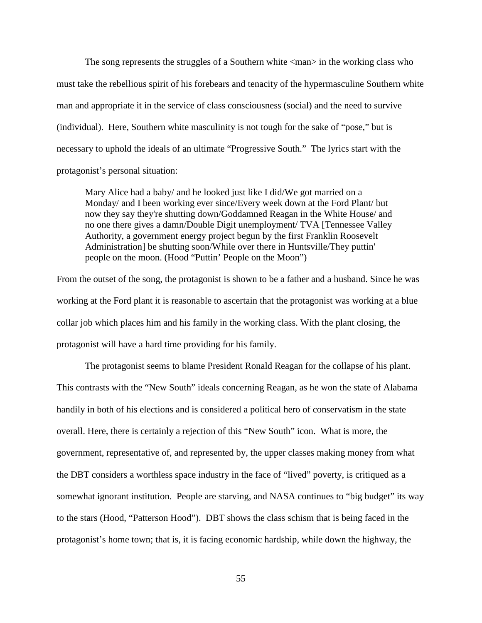The song represents the struggles of a Southern white  $\langle$ man $\rangle$  in the working class who must take the rebellious spirit of his forebears and tenacity of the hypermasculine Southern white man and appropriate it in the service of class consciousness (social) and the need to survive (individual). Here, Southern white masculinity is not tough for the sake of "pose," but is necessary to uphold the ideals of an ultimate "Progressive South." The lyrics start with the protagonist's personal situation:

Mary Alice had a baby/ and he looked just like I did/We got married on a Monday/ and I been working ever since/Every week down at the Ford Plant/ but now they say they're shutting down/Goddamned Reagan in the White House/ and no one there gives a damn/Double Digit unemployment/ TVA [Tennessee Valley Authority, a government energy project begun by the first Franklin Roosevelt Administration] be shutting soon/While over there in Huntsville/They puttin' people on the moon. (Hood "Puttin' People on the Moon")

From the outset of the song, the protagonist is shown to be a father and a husband. Since he was working at the Ford plant it is reasonable to ascertain that the protagonist was working at a blue collar job which places him and his family in the working class. With the plant closing, the protagonist will have a hard time providing for his family.

 The protagonist seems to blame President Ronald Reagan for the collapse of his plant. This contrasts with the "New South" ideals concerning Reagan, as he won the state of Alabama handily in both of his elections and is considered a political hero of conservatism in the state overall. Here, there is certainly a rejection of this "New South" icon. What is more, the government, representative of, and represented by, the upper classes making money from what the DBT considers a worthless space industry in the face of "lived" poverty, is critiqued as a somewhat ignorant institution. People are starving, and NASA continues to "big budget" its way to the stars (Hood, "Patterson Hood"). DBT shows the class schism that is being faced in the protagonist's home town; that is, it is facing economic hardship, while down the highway, the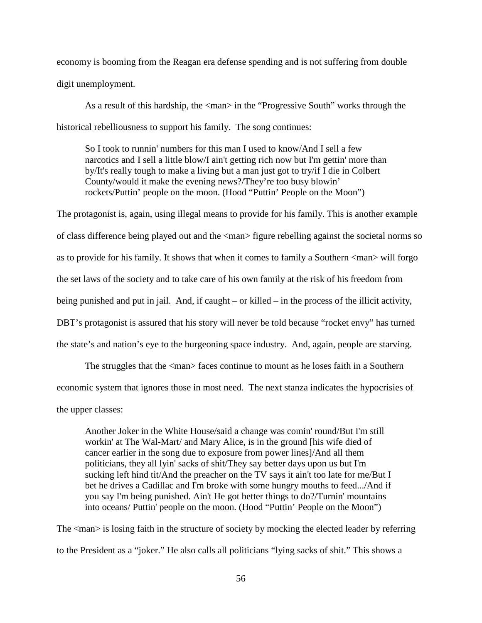economy is booming from the Reagan era defense spending and is not suffering from double digit unemployment.

As a result of this hardship, the  $\langle$ man $\rangle$  in the "Progressive South" works through the historical rebelliousness to support his family. The song continues:

So I took to runnin' numbers for this man I used to know/And I sell a few narcotics and I sell a little blow/I ain't getting rich now but I'm gettin' more than by/It's really tough to make a living but a man just got to try/if I die in Colbert County/would it make the evening news?/They're too busy blowin' rockets/Puttin' people on the moon. (Hood "Puttin' People on the Moon")

The protagonist is, again, using illegal means to provide for his family. This is another example of class difference being played out and the <man> figure rebelling against the societal norms so as to provide for his family. It shows that when it comes to family a Southern <man> will forgo the set laws of the society and to take care of his own family at the risk of his freedom from being punished and put in jail. And, if caught – or killed – in the process of the illicit activity, DBT's protagonist is assured that his story will never be told because "rocket envy" has turned the state's and nation's eye to the burgeoning space industry. And, again, people are starving.

The struggles that the  $\langle$ man $\rangle$  faces continue to mount as he loses faith in a Southern economic system that ignores those in most need. The next stanza indicates the hypocrisies of the upper classes:

Another Joker in the White House/said a change was comin' round/But I'm still workin' at The Wal-Mart/ and Mary Alice, is in the ground [his wife died of cancer earlier in the song due to exposure from power lines]/And all them politicians, they all lyin' sacks of shit/They say better days upon us but I'm sucking left hind tit/And the preacher on the TV says it ain't too late for me/But I bet he drives a Cadillac and I'm broke with some hungry mouths to feed.../And if you say I'm being punished. Ain't He got better things to do?/Turnin' mountains into oceans/ Puttin' people on the moon. (Hood "Puttin' People on the Moon")

The  $\le$ man $>$  is losing faith in the structure of society by mocking the elected leader by referring to the President as a "joker." He also calls all politicians "lying sacks of shit." This shows a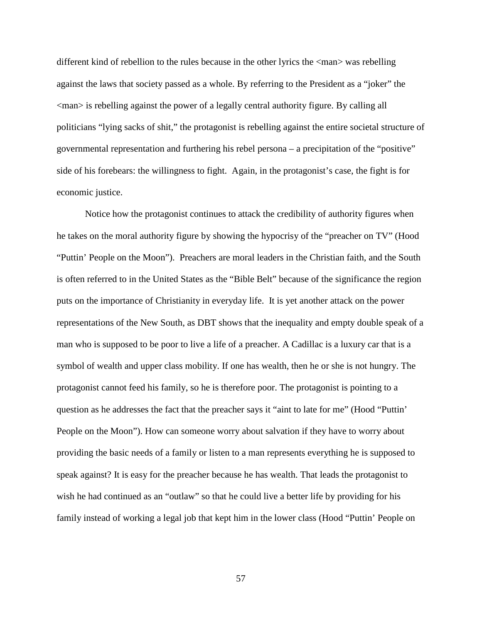different kind of rebellion to the rules because in the other lyrics the <man> was rebelling against the laws that society passed as a whole. By referring to the President as a "joker" the  $\alpha$   $\alpha$  is rebelling against the power of a legally central authority figure. By calling all politicians "lying sacks of shit," the protagonist is rebelling against the entire societal structure of governmental representation and furthering his rebel persona – a precipitation of the "positive" side of his forebears: the willingness to fight. Again, in the protagonist's case, the fight is for economic justice.

Notice how the protagonist continues to attack the credibility of authority figures when he takes on the moral authority figure by showing the hypocrisy of the "preacher on TV" (Hood "Puttin' People on the Moon"). Preachers are moral leaders in the Christian faith, and the South is often referred to in the United States as the "Bible Belt" because of the significance the region puts on the importance of Christianity in everyday life. It is yet another attack on the power representations of the New South, as DBT shows that the inequality and empty double speak of a man who is supposed to be poor to live a life of a preacher. A Cadillac is a luxury car that is a symbol of wealth and upper class mobility. If one has wealth, then he or she is not hungry. The protagonist cannot feed his family, so he is therefore poor. The protagonist is pointing to a question as he addresses the fact that the preacher says it "aint to late for me" (Hood "Puttin' People on the Moon"). How can someone worry about salvation if they have to worry about providing the basic needs of a family or listen to a man represents everything he is supposed to speak against? It is easy for the preacher because he has wealth. That leads the protagonist to wish he had continued as an "outlaw" so that he could live a better life by providing for his family instead of working a legal job that kept him in the lower class (Hood "Puttin' People on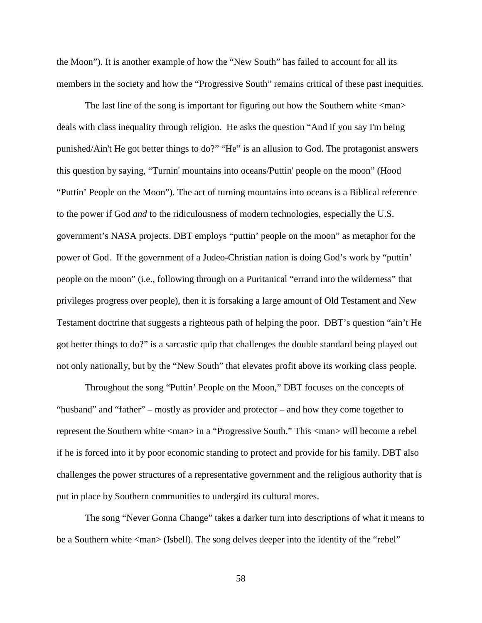the Moon"). It is another example of how the "New South" has failed to account for all its members in the society and how the "Progressive South" remains critical of these past inequities.

The last line of the song is important for figuring out how the Southern white  $\langle$ man $\rangle$ deals with class inequality through religion. He asks the question "And if you say I'm being punished/Ain't He got better things to do?" "He" is an allusion to God. The protagonist answers this question by saying, "Turnin' mountains into oceans/Puttin' people on the moon" (Hood "Puttin' People on the Moon"). The act of turning mountains into oceans is a Biblical reference to the power if God *and* to the ridiculousness of modern technologies, especially the U.S. government's NASA projects. DBT employs "puttin' people on the moon" as metaphor for the power of God. If the government of a Judeo-Christian nation is doing God's work by "puttin' people on the moon" (i.e., following through on a Puritanical "errand into the wilderness" that privileges progress over people), then it is forsaking a large amount of Old Testament and New Testament doctrine that suggests a righteous path of helping the poor. DBT's question "ain't He got better things to do?" is a sarcastic quip that challenges the double standard being played out not only nationally, but by the "New South" that elevates profit above its working class people.

Throughout the song "Puttin' People on the Moon," DBT focuses on the concepts of "husband" and "father" – mostly as provider and protector – and how they come together to represent the Southern white <man> in a "Progressive South." This <man> will become a rebel if he is forced into it by poor economic standing to protect and provide for his family. DBT also challenges the power structures of a representative government and the religious authority that is put in place by Southern communities to undergird its cultural mores.

The song "Never Gonna Change" takes a darker turn into descriptions of what it means to be a Southern white <man> (Isbell). The song delves deeper into the identity of the "rebel"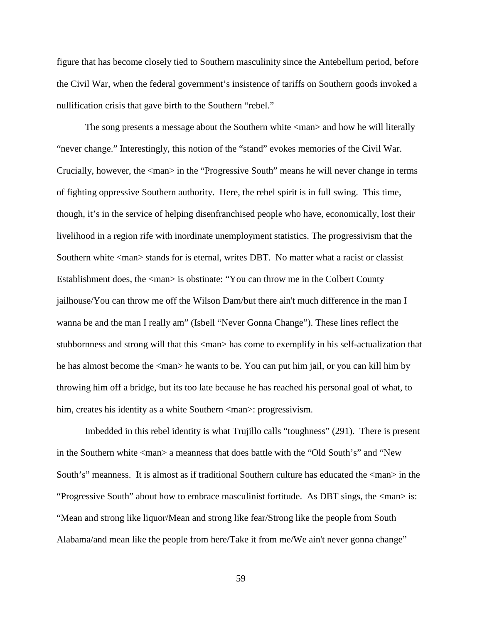figure that has become closely tied to Southern masculinity since the Antebellum period, before the Civil War, when the federal government's insistence of tariffs on Southern goods invoked a nullification crisis that gave birth to the Southern "rebel."

 The song presents a message about the Southern white <man> and how he will literally "never change." Interestingly, this notion of the "stand" evokes memories of the Civil War. Crucially, however, the <man> in the "Progressive South" means he will never change in terms of fighting oppressive Southern authority. Here, the rebel spirit is in full swing. This time, though, it's in the service of helping disenfranchised people who have, economically, lost their livelihood in a region rife with inordinate unemployment statistics. The progressivism that the Southern white <man> stands for is eternal, writes DBT. No matter what a racist or classist Establishment does, the  $\langle$ man $\rangle$  is obstinate: "You can throw me in the Colbert County jailhouse/You can throw me off the Wilson Dam/but there ain't much difference in the man I wanna be and the man I really am" (Isbell "Never Gonna Change"). These lines reflect the stubbornness and strong will that this  $\langle$ man $\rangle$  has come to exemplify in his self-actualization that he has almost become the  $\langle$ man $\rangle$  he wants to be. You can put him jail, or you can kill him by throwing him off a bridge, but its too late because he has reached his personal goal of what, to him, creates his identity as a white Southern  $\langle$ man $\rangle$ : progressivism.

 Imbedded in this rebel identity is what Trujillo calls "toughness" (291). There is present in the Southern white  $\langle$ man $\rangle$  a meanness that does battle with the "Old South's" and "New South's" meanness. It is almost as if traditional Southern culture has educated the <man> in the "Progressive South" about how to embrace masculinist fortitude. As DBT sings, the <man> is: "Mean and strong like liquor/Mean and strong like fear/Strong like the people from South Alabama/and mean like the people from here/Take it from me/We ain't never gonna change"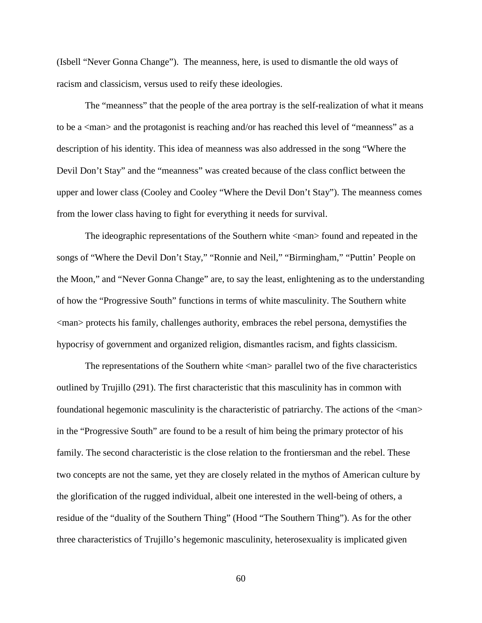(Isbell "Never Gonna Change"). The meanness, here, is used to dismantle the old ways of racism and classicism, versus used to reify these ideologies.

 The "meanness" that the people of the area portray is the self-realization of what it means to be a  $\alpha$  and the protagonist is reaching and/or has reached this level of "meanness" as a description of his identity. This idea of meanness was also addressed in the song "Where the Devil Don't Stay" and the "meanness" was created because of the class conflict between the upper and lower class (Cooley and Cooley "Where the Devil Don't Stay"). The meanness comes from the lower class having to fight for everything it needs for survival.

 The ideographic representations of the Southern white <man> found and repeated in the songs of "Where the Devil Don't Stay," "Ronnie and Neil," "Birmingham," "Puttin' People on the Moon," and "Never Gonna Change" are, to say the least, enlightening as to the understanding of how the "Progressive South" functions in terms of white masculinity. The Southern white <man> protects his family, challenges authority, embraces the rebel persona, demystifies the hypocrisy of government and organized religion, dismantles racism, and fights classicism.

The representations of the Southern white  $\langle$ man $\rangle$  parallel two of the five characteristics outlined by Trujillo (291). The first characteristic that this masculinity has in common with foundational hegemonic masculinity is the characteristic of patriarchy. The actions of the <man> in the "Progressive South" are found to be a result of him being the primary protector of his family. The second characteristic is the close relation to the frontiersman and the rebel. These two concepts are not the same, yet they are closely related in the mythos of American culture by the glorification of the rugged individual, albeit one interested in the well-being of others, a residue of the "duality of the Southern Thing" (Hood "The Southern Thing"). As for the other three characteristics of Trujillo's hegemonic masculinity, heterosexuality is implicated given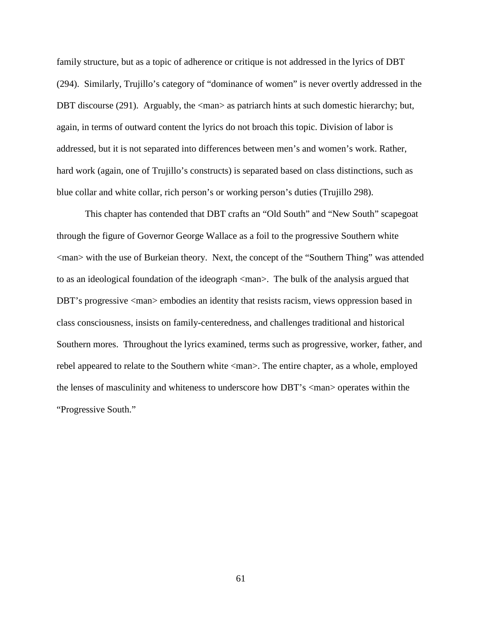family structure, but as a topic of adherence or critique is not addressed in the lyrics of DBT (294). Similarly, Trujillo's category of "dominance of women" is never overtly addressed in the DBT discourse  $(291)$ . Arguably, the  $\langle$ man $\rangle$  as patriarch hints at such domestic hierarchy; but, again, in terms of outward content the lyrics do not broach this topic. Division of labor is addressed, but it is not separated into differences between men's and women's work. Rather, hard work (again, one of Trujillo's constructs) is separated based on class distinctions, such as blue collar and white collar, rich person's or working person's duties (Trujillo 298).

 This chapter has contended that DBT crafts an "Old South" and "New South" scapegoat through the figure of Governor George Wallace as a foil to the progressive Southern white <man> with the use of Burkeian theory. Next, the concept of the "Southern Thing" was attended to as an ideological foundation of the ideograph  $\langle$ man $\rangle$ . The bulk of the analysis argued that DBT's progressive  $\langle$ man $\rangle$  embodies an identity that resists racism, views oppression based in class consciousness, insists on family-centeredness, and challenges traditional and historical Southern mores. Throughout the lyrics examined, terms such as progressive, worker, father, and rebel appeared to relate to the Southern white <man>. The entire chapter, as a whole, employed the lenses of masculinity and whiteness to underscore how DBT's  $\langle$ man $\rangle$  operates within the "Progressive South."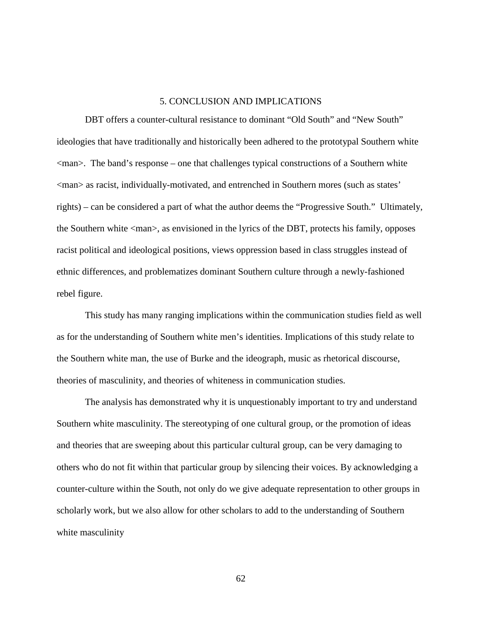## 5. CONCLUSION AND IMPLICATIONS

DBT offers a counter-cultural resistance to dominant "Old South" and "New South" ideologies that have traditionally and historically been adhered to the prototypal Southern white  $\le$ man $>$ . The band's response – one that challenges typical constructions of a Southern white <man> as racist, individually-motivated, and entrenched in Southern mores (such as states' rights) – can be considered a part of what the author deems the "Progressive South." Ultimately, the Southern white <man>, as envisioned in the lyrics of the DBT, protects his family, opposes racist political and ideological positions, views oppression based in class struggles instead of ethnic differences, and problematizes dominant Southern culture through a newly-fashioned rebel figure.

 This study has many ranging implications within the communication studies field as well as for the understanding of Southern white men's identities. Implications of this study relate to the Southern white man, the use of Burke and the ideograph, music as rhetorical discourse, theories of masculinity, and theories of whiteness in communication studies.

 The analysis has demonstrated why it is unquestionably important to try and understand Southern white masculinity. The stereotyping of one cultural group, or the promotion of ideas and theories that are sweeping about this particular cultural group, can be very damaging to others who do not fit within that particular group by silencing their voices. By acknowledging a counter-culture within the South, not only do we give adequate representation to other groups in scholarly work, but we also allow for other scholars to add to the understanding of Southern white masculinity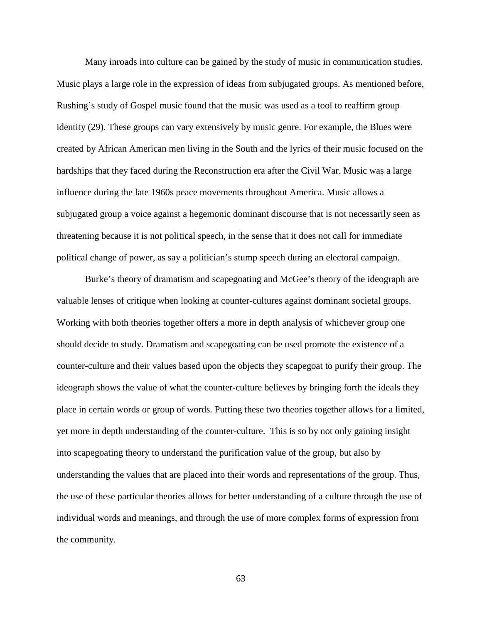Many inroads into culture can be gained by the study of music in communication studies. Music plays a large role in the expression of ideas from subjugated groups. As mentioned before, Rushing's study of Gospel music found that the music was used as a tool to reaffirm group identity (29). These groups can vary extensively by music genre. For example, the Blues were created by African American men living in the South and the lyrics of their music focused on the hardships that they faced during the Reconstruction era after the Civil War. Music was a large influence during the late 1960s peace movements throughout America. Music allows a subjugated group a voice against a hegemonic dominant discourse that is not necessarily seen as threatening because it is not political speech, in the sense that it does not call for immediate political change of power, as say a politician's stump speech during an electoral campaign.

 Burke's theory of dramatism and scapegoating and McGee's theory of the ideograph are valuable lenses of critique when looking at counter-cultures against dominant societal groups. Working with both theories together offers a more in depth analysis of whichever group one should decide to study. Dramatism and scapegoating can be used promote the existence of a counter-culture and their values based upon the objects they scapegoat to purify their group. The ideograph shows the value of what the counter-culture believes by bringing forth the ideals they place in certain words or group of words. Putting these two theories together allows for a limited, yet more in depth understanding of the counter-culture. This is so by not only gaining insight into scapegoating theory to understand the purification value of the group, but also by understanding the values that are placed into their words and representations of the group. Thus, the use of these particular theories allows for better understanding of a culture through the use of individual words and meanings, and through the use of more complex forms of expression from the community.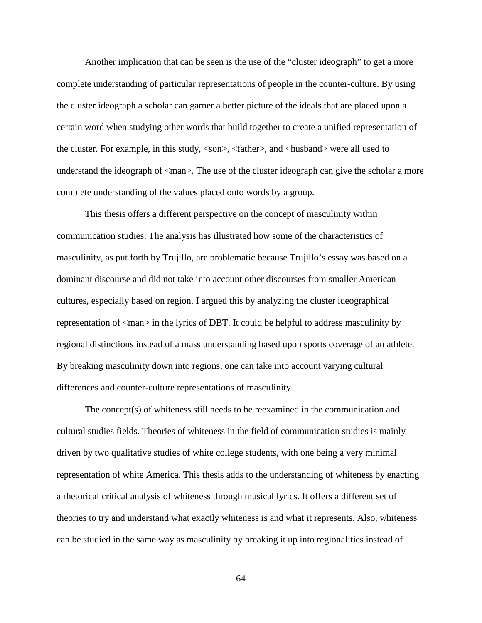Another implication that can be seen is the use of the "cluster ideograph" to get a more complete understanding of particular representations of people in the counter-culture. By using the cluster ideograph a scholar can garner a better picture of the ideals that are placed upon a certain word when studying other words that build together to create a unified representation of the cluster. For example, in this study, <son>, <father>, and <husband> were all used to understand the ideograph of  $\langle$ man $\rangle$ . The use of the cluster ideograph can give the scholar a more complete understanding of the values placed onto words by a group.

This thesis offers a different perspective on the concept of masculinity within communication studies. The analysis has illustrated how some of the characteristics of masculinity, as put forth by Trujillo, are problematic because Trujillo's essay was based on a dominant discourse and did not take into account other discourses from smaller American cultures, especially based on region. I argued this by analyzing the cluster ideographical representation of  $\langle$ man $\rangle$  in the lyrics of DBT. It could be helpful to address masculinity by regional distinctions instead of a mass understanding based upon sports coverage of an athlete. By breaking masculinity down into regions, one can take into account varying cultural differences and counter-culture representations of masculinity.

The concept(s) of whiteness still needs to be reexamined in the communication and cultural studies fields. Theories of whiteness in the field of communication studies is mainly driven by two qualitative studies of white college students, with one being a very minimal representation of white America. This thesis adds to the understanding of whiteness by enacting a rhetorical critical analysis of whiteness through musical lyrics. It offers a different set of theories to try and understand what exactly whiteness is and what it represents. Also, whiteness can be studied in the same way as masculinity by breaking it up into regionalities instead of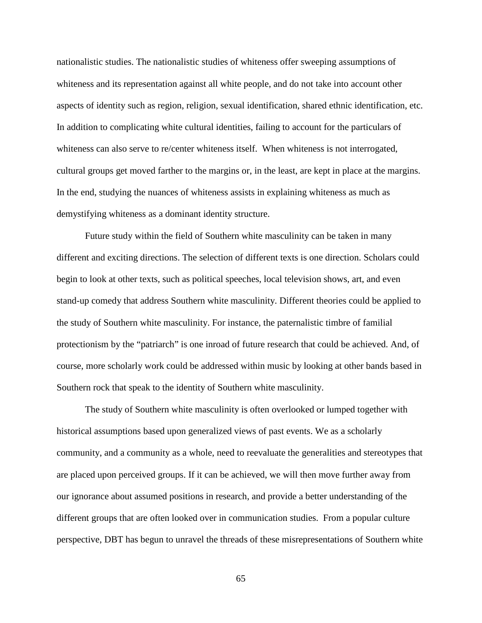nationalistic studies. The nationalistic studies of whiteness offer sweeping assumptions of whiteness and its representation against all white people, and do not take into account other aspects of identity such as region, religion, sexual identification, shared ethnic identification, etc. In addition to complicating white cultural identities, failing to account for the particulars of whiteness can also serve to re/center whiteness itself. When whiteness is not interrogated, cultural groups get moved farther to the margins or, in the least, are kept in place at the margins. In the end, studying the nuances of whiteness assists in explaining whiteness as much as demystifying whiteness as a dominant identity structure.

Future study within the field of Southern white masculinity can be taken in many different and exciting directions. The selection of different texts is one direction. Scholars could begin to look at other texts, such as political speeches, local television shows, art, and even stand-up comedy that address Southern white masculinity. Different theories could be applied to the study of Southern white masculinity. For instance, the paternalistic timbre of familial protectionism by the "patriarch" is one inroad of future research that could be achieved. And, of course, more scholarly work could be addressed within music by looking at other bands based in Southern rock that speak to the identity of Southern white masculinity.

 The study of Southern white masculinity is often overlooked or lumped together with historical assumptions based upon generalized views of past events. We as a scholarly community, and a community as a whole, need to reevaluate the generalities and stereotypes that are placed upon perceived groups. If it can be achieved, we will then move further away from our ignorance about assumed positions in research, and provide a better understanding of the different groups that are often looked over in communication studies. From a popular culture perspective, DBT has begun to unravel the threads of these misrepresentations of Southern white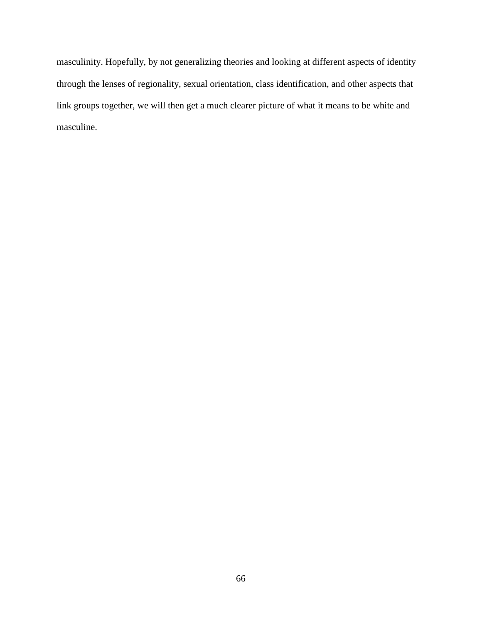masculinity. Hopefully, by not generalizing theories and looking at different aspects of identity through the lenses of regionality, sexual orientation, class identification, and other aspects that link groups together, we will then get a much clearer picture of what it means to be white and masculine.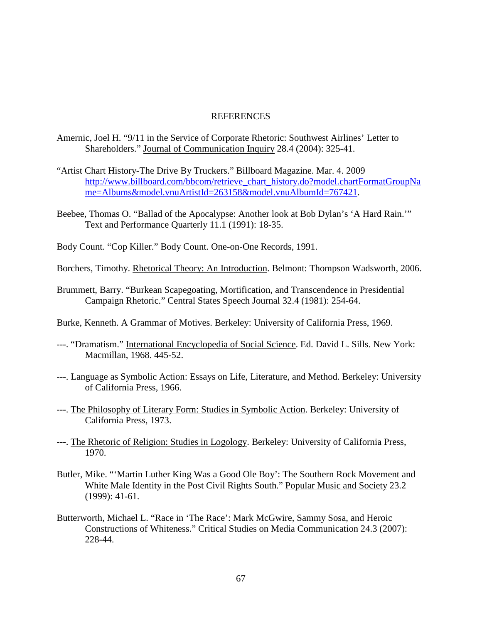#### REFERENCES

- Amernic, Joel H. "9/11 in the Service of Corporate Rhetoric: Southwest Airlines' Letter to Shareholders." Journal of Communication Inquiry 28.4 (2004): 325-41.
- "Artist Chart History-The Drive By Truckers." Billboard Magazine. Mar. 4. 2009 http://www.billboard.com/bbcom/retrieve\_chart\_history.do?model.chartFormatGroupNa me=Albums&model.vnuArtistId=263158&model.vnuAlbumId=767421.
- Beebee, Thomas O. "Ballad of the Apocalypse: Another look at Bob Dylan's 'A Hard Rain.'" Text and Performance Quarterly 11.1 (1991): 18-35.

Body Count. "Cop Killer." Body Count. One-on-One Records, 1991.

Borchers, Timothy. Rhetorical Theory: An Introduction. Belmont: Thompson Wadsworth, 2006.

- Brummett, Barry. "Burkean Scapegoating, Mortification, and Transcendence in Presidential Campaign Rhetoric." Central States Speech Journal 32.4 (1981): 254-64.
- Burke, Kenneth. A Grammar of Motives. Berkeley: University of California Press, 1969.
- ---. "Dramatism." International Encyclopedia of Social Science. Ed. David L. Sills. New York: Macmillan, 1968. 445-52.
- ---. Language as Symbolic Action: Essays on Life, Literature, and Method. Berkeley: University of California Press, 1966.
- ---. The Philosophy of Literary Form: Studies in Symbolic Action. Berkeley: University of California Press, 1973.
- ---. The Rhetoric of Religion: Studies in Logology. Berkeley: University of California Press, 1970.
- Butler, Mike. "'Martin Luther King Was a Good Ole Boy': The Southern Rock Movement and White Male Identity in the Post Civil Rights South." Popular Music and Society 23.2 (1999): 41-61.
- Butterworth, Michael L. "Race in 'The Race': Mark McGwire, Sammy Sosa, and Heroic Constructions of Whiteness." Critical Studies on Media Communication 24.3 (2007): 228-44.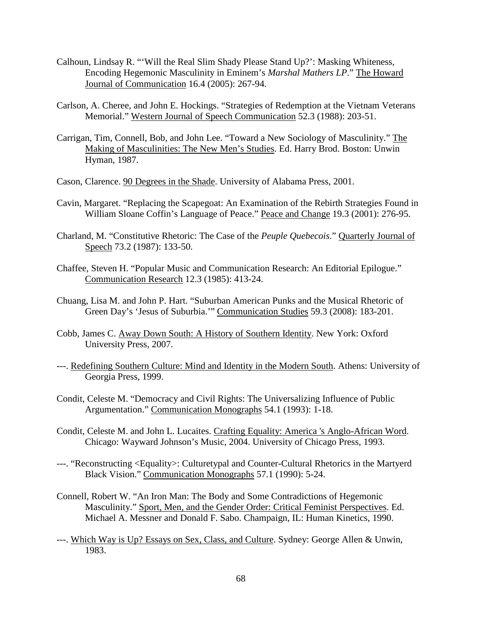- Calhoun, Lindsay R. "'Will the Real Slim Shady Please Stand Up?': Masking Whiteness, Encoding Hegemonic Masculinity in Eminem's *Marshal Mathers LP*." The Howard Journal of Communication 16.4 (2005): 267-94.
- Carlson, A. Cheree, and John E. Hockings. "Strategies of Redemption at the Vietnam Veterans Memorial." Western Journal of Speech Communication 52.3 (1988): 203-51.
- Carrigan, Tim, Connell, Bob, and John Lee. "Toward a New Sociology of Masculinity." The Making of Masculinities: The New Men's Studies. Ed. Harry Brod. Boston: Unwin Hyman, 1987.
- Cason, Clarence. 90 Degrees in the Shade. University of Alabama Press, 2001.
- Cavin, Margaret. "Replacing the Scapegoat: An Examination of the Rebirth Strategies Found in William Sloane Coffin's Language of Peace." Peace and Change 19.3 (2001): 276-95.
- Charland, M. "Constitutive Rhetoric: The Case of the *Peuple Quebecois*." Quarterly Journal of Speech 73.2 (1987): 133-50.
- Chaffee, Steven H. "Popular Music and Communication Research: An Editorial Epilogue." Communication Research 12.3 (1985): 413-24.
- Chuang, Lisa M. and John P. Hart. "Suburban American Punks and the Musical Rhetoric of Green Day's 'Jesus of Suburbia.'" Communication Studies 59.3 (2008): 183-201.
- Cobb, James C. Away Down South: A History of Southern Identity. New York: Oxford University Press, 2007.
- ---. Redefining Southern Culture: Mind and Identity in the Modern South. Athens: University of Georgia Press, 1999.
- Condit, Celeste M. "Democracy and Civil Rights: The Universalizing Influence of Public Argumentation." Communication Monographs 54.1 (1993): 1-18.
- Condit, Celeste M. and John L. Lucaites. Crafting Equality: America 's Anglo-African Word. Chicago: Wayward Johnson's Music, 2004. University of Chicago Press, 1993.
- ---. "Reconstructing <Equality>: Culturetypal and Counter-Cultural Rhetorics in the Martyerd Black Vision." Communication Monographs 57.1 (1990): 5-24.
- Connell, Robert W. "An Iron Man: The Body and Some Contradictions of Hegemonic Masculinity." Sport, Men, and the Gender Order: Critical Feminist Perspectives. Ed. Michael A. Messner and Donald F. Sabo. Champaign, IL: Human Kinetics, 1990.
- ---. Which Way is Up? Essays on Sex, Class, and Culture. Sydney: George Allen & Unwin, 1983.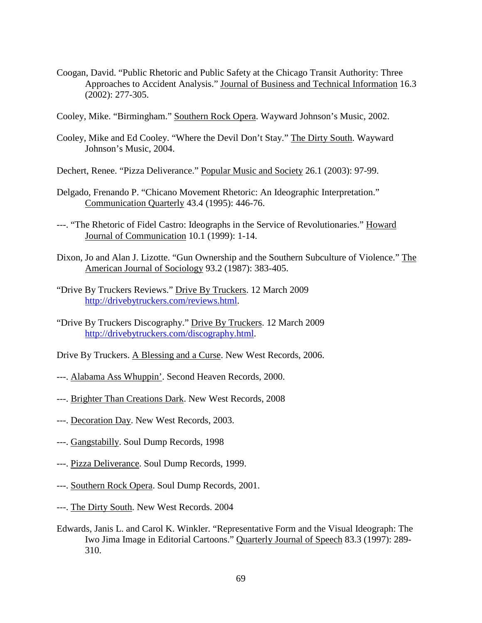- Coogan, David. "Public Rhetoric and Public Safety at the Chicago Transit Authority: Three Approaches to Accident Analysis." Journal of Business and Technical Information 16.3 (2002): 277-305.
- Cooley, Mike. "Birmingham." Southern Rock Opera. Wayward Johnson's Music, 2002.
- Cooley, Mike and Ed Cooley. "Where the Devil Don't Stay." The Dirty South. Wayward Johnson's Music, 2004.

Dechert, Renee. "Pizza Deliverance." Popular Music and Society 26.1 (2003): 97-99.

- Delgado, Frenando P. "Chicano Movement Rhetoric: An Ideographic Interpretation." Communication Quarterly 43.4 (1995): 446-76.
- ---. "The Rhetoric of Fidel Castro: Ideographs in the Service of Revolutionaries." Howard Journal of Communication 10.1 (1999): 1-14.
- Dixon, Jo and Alan J. Lizotte. "Gun Ownership and the Southern Subculture of Violence." The American Journal of Sociology 93.2 (1987): 383-405.
- "Drive By Truckers Reviews." Drive By Truckers. 12 March 2009 http://drivebytruckers.com/reviews.html.
- "Drive By Truckers Discography." Drive By Truckers. 12 March 2009 http://drivebytruckers.com/discography.html.
- Drive By Truckers. A Blessing and a Curse. New West Records, 2006.
- ---. Alabama Ass Whuppin'. Second Heaven Records, 2000.
- ---. Brighter Than Creations Dark. New West Records, 2008
- ---. Decoration Day. New West Records, 2003.
- ---. Gangstabilly. Soul Dump Records, 1998
- ---. Pizza Deliverance. Soul Dump Records, 1999.
- ---. Southern Rock Opera. Soul Dump Records, 2001.
- ---. The Dirty South. New West Records. 2004
- Edwards, Janis L. and Carol K. Winkler. "Representative Form and the Visual Ideograph: The Iwo Jima Image in Editorial Cartoons." Quarterly Journal of Speech 83.3 (1997): 289- 310.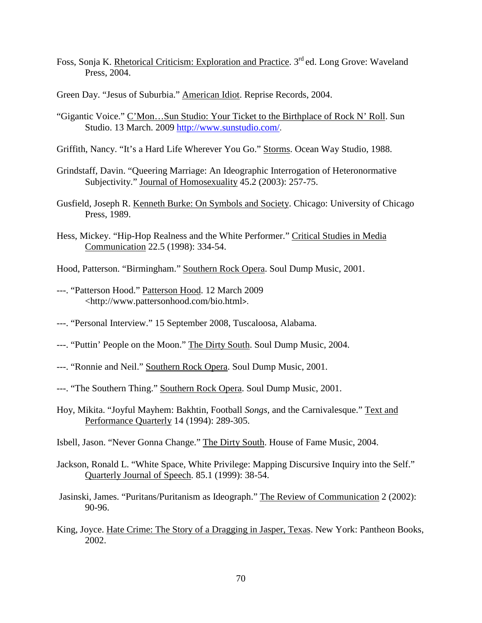- Foss, Sonja K. Rhetorical Criticism: Exploration and Practice. 3rd ed. Long Grove: Waveland Press, 2004.
- Green Day. "Jesus of Suburbia." American Idiot. Reprise Records, 2004.
- "Gigantic Voice." C'Mon…Sun Studio: Your Ticket to the Birthplace of Rock N' Roll. Sun Studio. 13 March. 2009 http://www.sunstudio.com/.
- Griffith, Nancy. "It's a Hard Life Wherever You Go." Storms. Ocean Way Studio, 1988.
- Grindstaff, Davin. "Queering Marriage: An Ideographic Interrogation of Heteronormative Subjectivity." Journal of Homosexuality 45.2 (2003): 257-75.
- Gusfield, Joseph R. Kenneth Burke: On Symbols and Society. Chicago: University of Chicago Press, 1989.
- Hess, Mickey. "Hip-Hop Realness and the White Performer." Critical Studies in Media Communication 22.5 (1998): 334-54.
- Hood, Patterson. "Birmingham." Southern Rock Opera. Soul Dump Music, 2001.
- ---. "Patterson Hood." Patterson Hood. 12 March 2009 <http://www.pattersonhood.com/bio.html>.
- ---. "Personal Interview." 15 September 2008, Tuscaloosa, Alabama.
- ---. "Puttin' People on the Moon." The Dirty South. Soul Dump Music, 2004.
- ---. "Ronnie and Neil." Southern Rock Opera. Soul Dump Music, 2001.
- ---. "The Southern Thing." Southern Rock Opera. Soul Dump Music, 2001.
- Hoy, Mikita. "Joyful Mayhem: Bakhtin, Football *Songs,* and the Carnivalesque." Text and Performance Quarterly 14 (1994): 289-305.
- Isbell, Jason. "Never Gonna Change." The Dirty South. House of Fame Music, 2004.
- Jackson, Ronald L. "White Space, White Privilege: Mapping Discursive Inquiry into the Self." Quarterly Journal of Speech. 85.1 (1999): 38-54.
- Jasinski, James. "Puritans/Puritanism as Ideograph." The Review of Communication 2 (2002): 90-96.
- King, Joyce. Hate Crime: The Story of a Dragging in Jasper, Texas. New York: Pantheon Books, 2002.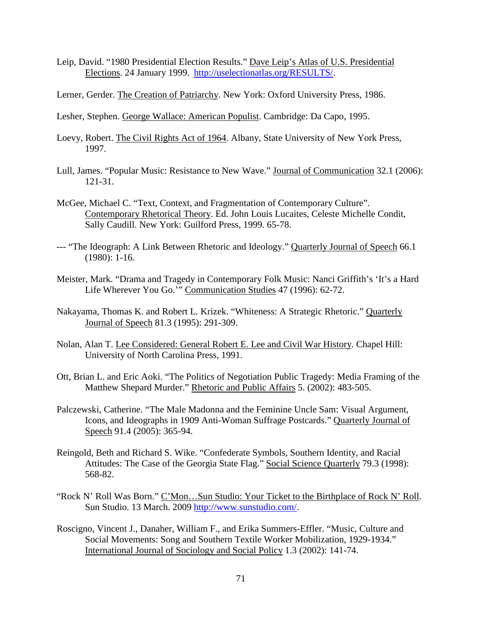- Leip, David. "1980 Presidential Election Results." Dave Leip's Atlas of U.S. Presidential Elections. 24 January 1999. http://uselectionatlas.org/RESULTS/.
- Lerner, Gerder. The Creation of Patriarchy. New York: Oxford University Press, 1986.
- Lesher, Stephen. George Wallace: American Populist. Cambridge: Da Capo, 1995.
- Loevy, Robert. The Civil Rights Act of 1964. Albany, State University of New York Press, 1997.
- Lull, James. "Popular Music: Resistance to New Wave." Journal of Communication 32.1 (2006): 121-31.
- McGee, Michael C. "Text, Context, and Fragmentation of Contemporary Culture". Contemporary Rhetorical Theory. Ed. John Louis Lucaites, Celeste Michelle Condit, Sally Caudill. New York: Guilford Press, 1999. 65-78.
- --- "The Ideograph: A Link Between Rhetoric and Ideology." Quarterly Journal of Speech 66.1 (1980): 1-16.
- Meister, Mark. "Drama and Tragedy in Contemporary Folk Music: Nanci Griffith's 'It's a Hard Life Wherever You Go.'" Communication Studies 47 (1996): 62-72.
- Nakayama, Thomas K. and Robert L. Krizek. "Whiteness: A Strategic Rhetoric." Quarterly Journal of Speech 81.3 (1995): 291-309.
- Nolan, Alan T. Lee Considered: General Robert E. Lee and Civil War History. Chapel Hill: University of North Carolina Press, 1991.
- Ott, Brian L. and Eric Aoki. "The Politics of Negotiation Public Tragedy: Media Framing of the Matthew Shepard Murder." Rhetoric and Public Affairs 5. (2002): 483-505.
- Palczewski, Catherine. "The Male Madonna and the Feminine Uncle Sam: Visual Argument, Icons, and Ideographs in 1909 Anti-Woman Suffrage Postcards." Quarterly Journal of Speech 91.4 (2005): 365-94.
- Reingold, Beth and Richard S. Wike. "Confederate Symbols, Southern Identity, and Racial Attitudes: The Case of the Georgia State Flag." Social Science Quarterly 79.3 (1998): 568-82.
- "Rock N' Roll Was Born." C'Mon…Sun Studio: Your Ticket to the Birthplace of Rock N' Roll. Sun Studio. 13 March. 2009 http://www.sunstudio.com/.
- Roscigno, Vincent J., Danaher, William F., and Erika Summers-Effler. "Music, Culture and Social Movements: Song and Southern Textile Worker Mobilization, 1929-1934." International Journal of Sociology and Social Policy 1.3 (2002): 141-74.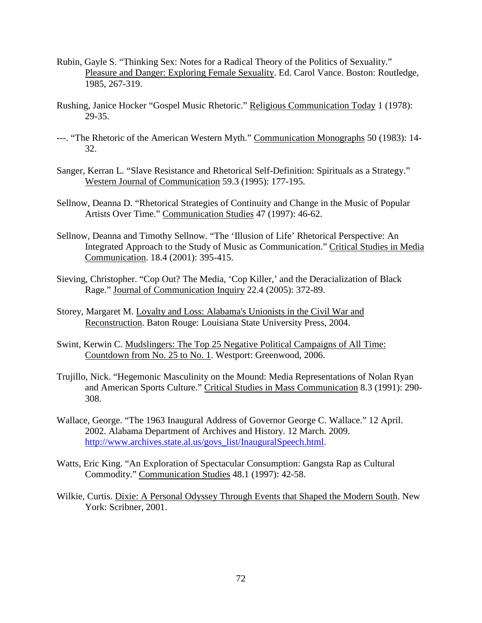- Rubin, Gayle S. "Thinking Sex: Notes for a Radical Theory of the Politics of Sexuality." Pleasure and Danger: Exploring Female Sexuality. Ed. Carol Vance. Boston: Routledge, 1985, 267-319.
- Rushing, Janice Hocker "Gospel Music Rhetoric." Religious Communication Today 1 (1978): 29-35.
- ---. "The Rhetoric of the American Western Myth." Communication Monographs 50 (1983): 14- 32.
- Sanger, Kerran L. "Slave Resistance and Rhetorical Self-Definition: Spirituals as a Strategy." Western Journal of Communication 59.3 (1995): 177-195.
- Sellnow, Deanna D. "Rhetorical Strategies of Continuity and Change in the Music of Popular Artists Over Time." Communication Studies 47 (1997): 46-62.
- Sellnow, Deanna and Timothy Sellnow. "The 'Illusion of Life' Rhetorical Perspective: An Integrated Approach to the Study of Music as Communication." Critical Studies in Media Communication. 18.4 (2001): 395-415.
- Sieving, Christopher. "Cop Out? The Media, 'Cop Killer,' and the Deracialization of Black Rage." Journal of Communication Inquiry 22.4 (2005): 372-89.
- Storey, Margaret M. Loyalty and Loss: Alabama's Unionists in the Civil War and Reconstruction. Baton Rouge: Louisiana State University Press, 2004.
- Swint, Kerwin C. Mudslingers: The Top 25 Negative Political Campaigns of All Time: Countdown from No. 25 to No. 1. Westport: Greenwood, 2006.
- Trujillo, Nick. "Hegemonic Masculinity on the Mound: Media Representations of Nolan Ryan and American Sports Culture." Critical Studies in Mass Communication 8.3 (1991): 290- 308.
- Wallace, George. "The 1963 Inaugural Address of Governor George C. Wallace." 12 April. 2002. Alabama Department of Archives and History. 12 March. 2009. http://www.archives.state.al.us/govs\_list/InauguralSpeech.html.
- Watts, Eric King. "An Exploration of Spectacular Consumption: Gangsta Rap as Cultural Commodity." Communication Studies 48.1 (1997): 42-58.
- Wilkie, Curtis. Dixie: A Personal Odyssey Through Events that Shaped the Modern South. New York: Scribner, 2001.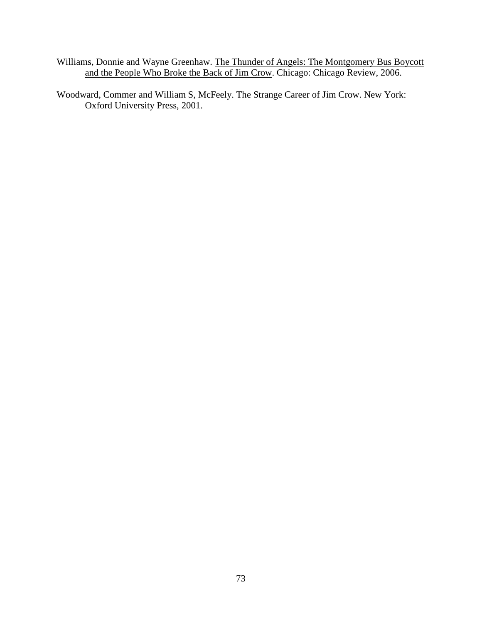- Williams, Donnie and Wayne Greenhaw. The Thunder of Angels: The Montgomery Bus Boycott and the People Who Broke the Back of Jim Crow. Chicago: Chicago Review, 2006.
- Woodward, Commer and William S, McFeely. The Strange Career of Jim Crow. New York: Oxford University Press, 2001.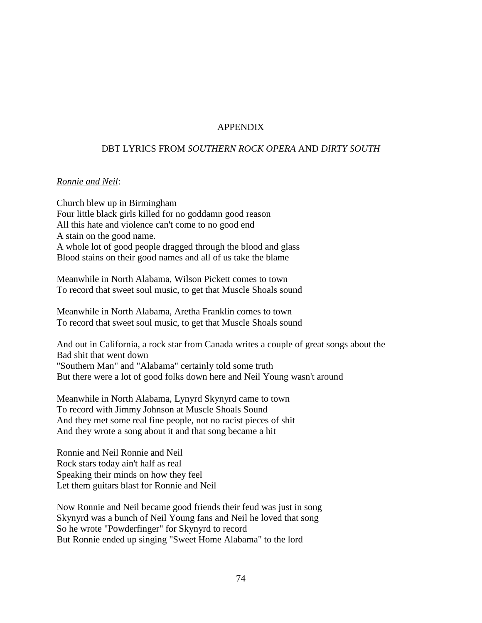### APPENDIX

### DBT LYRICS FROM *SOUTHERN ROCK OPERA* AND *DIRTY SOUTH*

### *Ronnie and Neil*:

Church blew up in Birmingham Four little black girls killed for no goddamn good reason All this hate and violence can't come to no good end A stain on the good name. A whole lot of good people dragged through the blood and glass Blood stains on their good names and all of us take the blame

Meanwhile in North Alabama, Wilson Pickett comes to town To record that sweet soul music, to get that Muscle Shoals sound

Meanwhile in North Alabama, Aretha Franklin comes to town To record that sweet soul music, to get that Muscle Shoals sound

And out in California, a rock star from Canada writes a couple of great songs about the Bad shit that went down "Southern Man" and "Alabama" certainly told some truth But there were a lot of good folks down here and Neil Young wasn't around

Meanwhile in North Alabama, Lynyrd Skynyrd came to town To record with Jimmy Johnson at Muscle Shoals Sound And they met some real fine people, not no racist pieces of shit And they wrote a song about it and that song became a hit

Ronnie and Neil Ronnie and Neil Rock stars today ain't half as real Speaking their minds on how they feel Let them guitars blast for Ronnie and Neil

Now Ronnie and Neil became good friends their feud was just in song Skynyrd was a bunch of Neil Young fans and Neil he loved that song So he wrote "Powderfinger" for Skynyrd to record But Ronnie ended up singing "Sweet Home Alabama" to the lord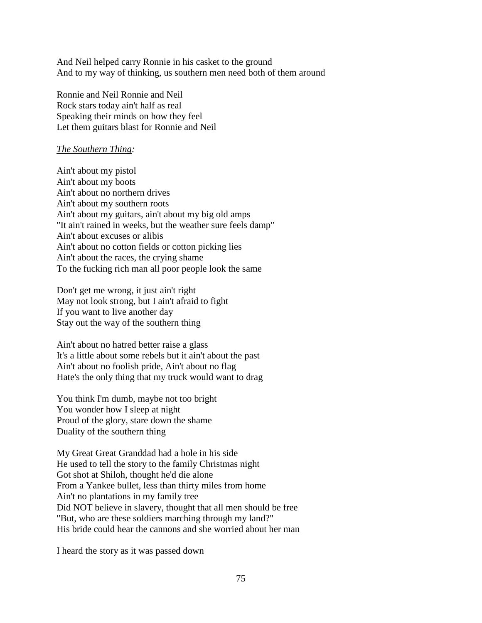And Neil helped carry Ronnie in his casket to the ground And to my way of thinking, us southern men need both of them around

Ronnie and Neil Ronnie and Neil Rock stars today ain't half as real Speaking their minds on how they feel Let them guitars blast for Ronnie and Neil

### *The Southern Thing:*

Ain't about my pistol Ain't about my boots Ain't about no northern drives Ain't about my southern roots Ain't about my guitars, ain't about my big old amps "It ain't rained in weeks, but the weather sure feels damp" Ain't about excuses or alibis Ain't about no cotton fields or cotton picking lies Ain't about the races, the crying shame To the fucking rich man all poor people look the same

Don't get me wrong, it just ain't right May not look strong, but I ain't afraid to fight If you want to live another day Stay out the way of the southern thing

Ain't about no hatred better raise a glass It's a little about some rebels but it ain't about the past Ain't about no foolish pride, Ain't about no flag Hate's the only thing that my truck would want to drag

You think I'm dumb, maybe not too bright You wonder how I sleep at night Proud of the glory, stare down the shame Duality of the southern thing

My Great Great Granddad had a hole in his side He used to tell the story to the family Christmas night Got shot at Shiloh, thought he'd die alone From a Yankee bullet, less than thirty miles from home Ain't no plantations in my family tree Did NOT believe in slavery, thought that all men should be free "But, who are these soldiers marching through my land?" His bride could hear the cannons and she worried about her man

I heard the story as it was passed down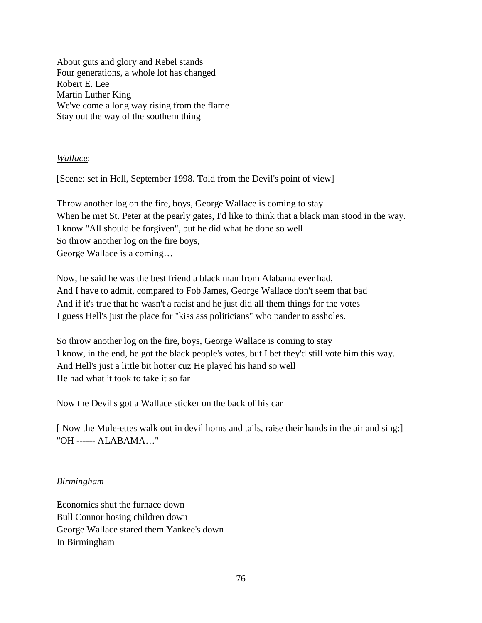About guts and glory and Rebel stands Four generations, a whole lot has changed Robert E. Lee Martin Luther King We've come a long way rising from the flame Stay out the way of the southern thing

# *Wallace*:

[Scene: set in Hell, September 1998. Told from the Devil's point of view]

Throw another log on the fire, boys, George Wallace is coming to stay When he met St. Peter at the pearly gates, I'd like to think that a black man stood in the way. I know "All should be forgiven", but he did what he done so well So throw another log on the fire boys, George Wallace is a coming…

Now, he said he was the best friend a black man from Alabama ever had, And I have to admit, compared to Fob James, George Wallace don't seem that bad And if it's true that he wasn't a racist and he just did all them things for the votes I guess Hell's just the place for "kiss ass politicians" who pander to assholes.

So throw another log on the fire, boys, George Wallace is coming to stay I know, in the end, he got the black people's votes, but I bet they'd still vote him this way. And Hell's just a little bit hotter cuz He played his hand so well He had what it took to take it so far

Now the Devil's got a Wallace sticker on the back of his car

[ Now the Mule-ettes walk out in devil horns and tails, raise their hands in the air and sing:] "OH ------ ALABAMA…"

# *Birmingham*

Economics shut the furnace down Bull Connor hosing children down George Wallace stared them Yankee's down In Birmingham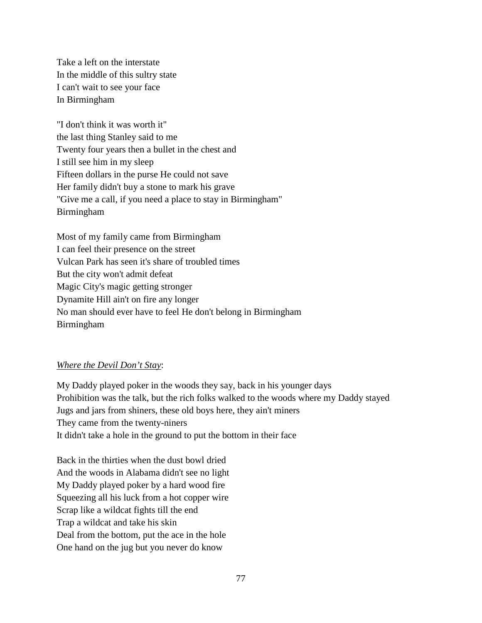Take a left on the interstate In the middle of this sultry state I can't wait to see your face In Birmingham

"I don't think it was worth it" the last thing Stanley said to me Twenty four years then a bullet in the chest and I still see him in my sleep Fifteen dollars in the purse He could not save Her family didn't buy a stone to mark his grave "Give me a call, if you need a place to stay in Birmingham" Birmingham

Most of my family came from Birmingham I can feel their presence on the street Vulcan Park has seen it's share of troubled times But the city won't admit defeat Magic City's magic getting stronger Dynamite Hill ain't on fire any longer No man should ever have to feel He don't belong in Birmingham Birmingham

### *Where the Devil Don't Stay*:

My Daddy played poker in the woods they say, back in his younger days Prohibition was the talk, but the rich folks walked to the woods where my Daddy stayed Jugs and jars from shiners, these old boys here, they ain't miners They came from the twenty-niners It didn't take a hole in the ground to put the bottom in their face

Back in the thirties when the dust bowl dried And the woods in Alabama didn't see no light My Daddy played poker by a hard wood fire Squeezing all his luck from a hot copper wire Scrap like a wildcat fights till the end Trap a wildcat and take his skin Deal from the bottom, put the ace in the hole One hand on the jug but you never do know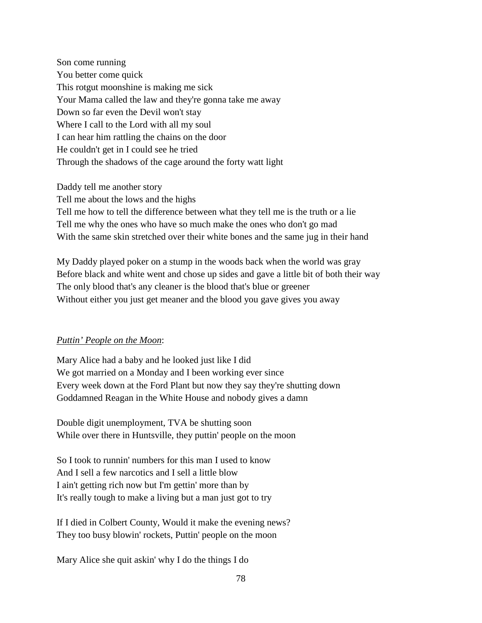Son come running You better come quick This rotgut moonshine is making me sick Your Mama called the law and they're gonna take me away Down so far even the Devil won't stay Where I call to the Lord with all my soul I can hear him rattling the chains on the door He couldn't get in I could see he tried Through the shadows of the cage around the forty watt light

Daddy tell me another story Tell me about the lows and the highs Tell me how to tell the difference between what they tell me is the truth or a lie Tell me why the ones who have so much make the ones who don't go mad With the same skin stretched over their white bones and the same jug in their hand

My Daddy played poker on a stump in the woods back when the world was gray Before black and white went and chose up sides and gave a little bit of both their way The only blood that's any cleaner is the blood that's blue or greener Without either you just get meaner and the blood you gave gives you away

### *Puttin' People on the Moon*:

Mary Alice had a baby and he looked just like I did We got married on a Monday and I been working ever since Every week down at the Ford Plant but now they say they're shutting down Goddamned Reagan in the White House and nobody gives a damn

Double digit unemployment, TVA be shutting soon While over there in Huntsville, they puttin' people on the moon

So I took to runnin' numbers for this man I used to know And I sell a few narcotics and I sell a little blow I ain't getting rich now but I'm gettin' more than by It's really tough to make a living but a man just got to try

If I died in Colbert County, Would it make the evening news? They too busy blowin' rockets, Puttin' people on the moon

Mary Alice she quit askin' why I do the things I do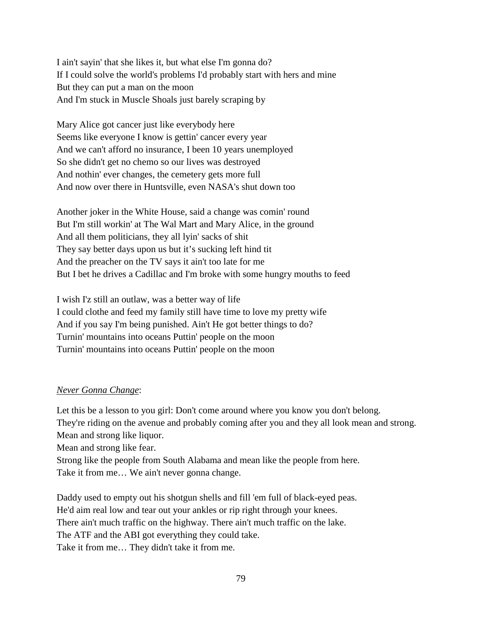I ain't sayin' that she likes it, but what else I'm gonna do? If I could solve the world's problems I'd probably start with hers and mine But they can put a man on the moon And I'm stuck in Muscle Shoals just barely scraping by

Mary Alice got cancer just like everybody here Seems like everyone I know is gettin' cancer every year And we can't afford no insurance, I been 10 years unemployed So she didn't get no chemo so our lives was destroyed And nothin' ever changes, the cemetery gets more full And now over there in Huntsville, even NASA's shut down too

Another joker in the White House, said a change was comin' round But I'm still workin' at The Wal Mart and Mary Alice, in the ground And all them politicians, they all lyin' sacks of shit They say better days upon us but it's sucking left hind tit And the preacher on the TV says it ain't too late for me But I bet he drives a Cadillac and I'm broke with some hungry mouths to feed

I wish I'z still an outlaw, was a better way of life I could clothe and feed my family still have time to love my pretty wife And if you say I'm being punished. Ain't He got better things to do? Turnin' mountains into oceans Puttin' people on the moon Turnin' mountains into oceans Puttin' people on the moon

# *Never Gonna Change*:

Let this be a lesson to you girl: Don't come around where you know you don't belong. They're riding on the avenue and probably coming after you and they all look mean and strong. Mean and strong like liquor.

Mean and strong like fear.

Strong like the people from South Alabama and mean like the people from here. Take it from me… We ain't never gonna change.

Daddy used to empty out his shotgun shells and fill 'em full of black-eyed peas. He'd aim real low and tear out your ankles or rip right through your knees. There ain't much traffic on the highway. There ain't much traffic on the lake. The ATF and the ABI got everything they could take. Take it from me… They didn't take it from me.